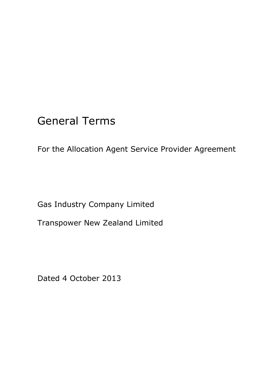# General Terms

For the Allocation Agent Service Provider Agreement

Gas Industry Company Limited

Transpower New Zealand Limited

Dated 4 October 2013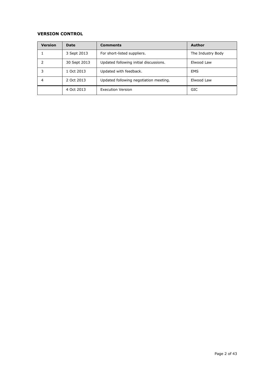## **VERSION CONTROL**

| <b>Version</b> | Date         | <b>Comments</b>                        | <b>Author</b>     |
|----------------|--------------|----------------------------------------|-------------------|
|                | 3 Sept 2013  | For short-listed suppliers.            | The Industry Body |
|                | 30 Sept 2013 | Updated following initial discussions. | Elwood Law        |
| 3              | 1 Oct 2013   | Updated with feedback.                 | <b>EMS</b>        |
| 4              | 2 Oct 2013   | Updated following negotiation meeting. | Elwood Law        |
|                | 4 Oct 2013   | <b>Execution Version</b>               | <b>GIC</b>        |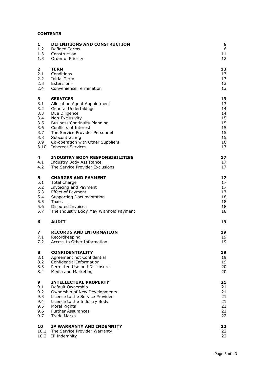# **CONTENTS**

| 1          | <b>DEFINITIONS AND CONSTRUCTION</b>                                             | 6              |
|------------|---------------------------------------------------------------------------------|----------------|
| 1.2        | <b>Defined Terms</b>                                                            | 6              |
| 1.3        | Construction                                                                    | 11             |
| 1.3        | Order of Priority                                                               | 12             |
| 2          | <b>TERM</b>                                                                     | 13             |
| 2.1        | Conditions                                                                      | 13             |
| 2.2        | Initial Term                                                                    | 13             |
| 2.3        | Extensions                                                                      | 13             |
| 2.4        | Convenience Termination                                                         | 13             |
| 3          | <b>SERVICES</b>                                                                 | 13             |
| 3.1        | Allocation Agent Appointment                                                    | 13             |
| 3.2        | General Undertakings                                                            | 14             |
| 3.3        | Due Diligence                                                                   | 14             |
| 3.4        | Non-Exclusivity                                                                 | 15             |
| 3.5        | <b>Business Continuity Planning</b>                                             | 15             |
| 3.6        | Conflicts of Interest                                                           | 15             |
| 3.7        | The Service Provider Personnel                                                  | 15             |
| 3.8        | Subcontracting                                                                  | 15             |
| 3.9        | Co-operation with Other Suppliers                                               | 16             |
| 3.10       | <b>Inherent Services</b>                                                        | 17             |
| 4          | <b>INDUSTRY BODY RESPONSIBILITIES</b>                                           | 17             |
| 4.1        | Industry Body Assistance                                                        | 17             |
| 4.2        | The Service Provider Exclusions                                                 | 17             |
| 5          | <b>CHARGES AND PAYMENT</b>                                                      | 17             |
| 5.1        | <b>Total Charge</b>                                                             | 17             |
| 5.2        | Invoicing and Payment                                                           | 17             |
| 5.3        | <b>Effect of Payment</b>                                                        | 17             |
| 5.4        | Supporting Documentation                                                        | 18             |
| 5.5        | Taxes                                                                           | 18             |
| 5.6        | Disputed Invoices                                                               | 18             |
| 5.7        | The Industry Body May Withhold Payment                                          | 18             |
| 6          | <b>AUDIT</b>                                                                    | 19             |
| 7          | <b>RECORDS AND INFORMATION</b>                                                  | 19             |
| 7.1        | Recordkeeping                                                                   | 19             |
| 7.2        | Access to Other Information                                                     | 19             |
| 8          | <b>CONFIDENTIALITY</b>                                                          | 19             |
| 8.1        | Agreement not Confidential                                                      | 19             |
| 8.2        | Confidential Information                                                        | 19             |
| 8.3        | Permitted Use and Disclosure                                                    | 20             |
| 8.4        | Media and Marketing                                                             | 20             |
| 9          | <b>INTELLECTUAL PROPERTY</b>                                                    | 21             |
| 9.1        | Default Ownership                                                               | 21             |
| 9.2        | Ownership of New Developments                                                   | 21             |
| 9.3        | Licence to the Service Provider                                                 | 21             |
| 9.4        | Licence to the Industry Body                                                    | 21             |
| 9.5        | Moral Rights                                                                    | 21             |
| 9.6        | <b>Further Assurances</b>                                                       | 21             |
| 9.7        | <b>Trade Marks</b>                                                              | 22             |
| 10<br>10.1 | IP WARRANTY AND INDEMNITY<br>The Service Provider Warranty<br>10.2 IP Indemnity | 22<br>22<br>22 |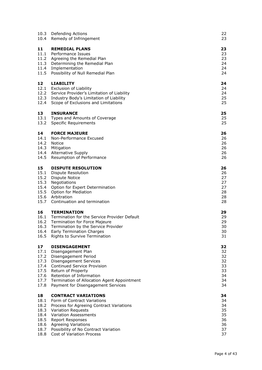|                                                                    | 10.3 Defending Actions<br>10.4 Remedy of Infringement                                                                                                                                                                                                                                          | 22<br>23                                           |
|--------------------------------------------------------------------|------------------------------------------------------------------------------------------------------------------------------------------------------------------------------------------------------------------------------------------------------------------------------------------------|----------------------------------------------------|
| 11<br>11.3                                                         | <b>REMEDIAL PLANS</b><br>11.1 Performance Issues<br>11.2 Agreeing the Remedial Plan<br>Determining the Remedial Plan<br>11.4 Implementation<br>11.5 Possibility of Null Remedial Plan                                                                                                          | 23<br>23<br>23<br>24<br>24<br>24                   |
| 12<br>12.4                                                         | <b>LIABILITY</b><br>12.1 Exclusion of Liability<br>12.2 Service Provider's Limitation of Liability<br>12.3 Industry Body's Limitation of Liability<br>Scope of Exclusions and Limitations                                                                                                      | 24<br>24<br>24<br>25<br>25                         |
| 13<br>13.1<br>13.2                                                 | <b>INSURANCE</b><br>Types and Amounts of Coverage<br><b>Specific Requirements</b>                                                                                                                                                                                                              | 25<br>25<br>25                                     |
| 14<br>14.1<br>14.5                                                 | <b>FORCE MAJEURE</b><br>Non-Performance Excused<br>14.2 Notice<br>14.3 Mitigation<br>14.4 Alternative Supply<br>Resumption of Performance                                                                                                                                                      | 26<br>26<br>26<br>26<br>26<br>26                   |
| 15<br>15.1<br>15.3<br>15.7                                         | <b>DISPUTE RESOLUTION</b><br><b>Dispute Resolution</b><br>15.2 Dispute Notice<br>Negotiations<br>15.4 Option for Expert Determination<br>15.5 Option for Mediation<br>15.6 Arbitration<br>Continuation and termination                                                                         | 26<br>26<br>27<br>27<br>27<br>28<br>28<br>28       |
| 16<br>16.1<br>16.4<br>16.5                                         | <b>TERMINATION</b><br>Termination for the Service Provider Default<br>16.2 Termination for Force Majeure<br>16.3 Termination by the Service Provider<br><b>Early Termination Charges</b><br>Rights to Survive Termination                                                                      | 29<br>29<br>29<br>30<br>30<br>31                   |
| 17<br>17.1<br>17.2<br>17.3<br>17.4<br>17.5<br>17.6<br>17.7<br>17.8 | <b>DISENGAGEMENT</b><br>Disengagement Plan<br>Disengagement Period<br>Disengagement Services<br>Continued Service Provision<br>Return of Property<br>Retention of Information<br>Termination of Allocation Agent Appointment<br>Payment for Disengagement Services                             | 32<br>32<br>32<br>32<br>33<br>33<br>34<br>34<br>34 |
| 18<br>18.1<br>18.2<br>18.3<br>18.4<br>18.5<br>18.7<br>18.8         | <b>CONTRACT VARIATIONS</b><br>Form of Contract Variations<br>Process for Agreeing Contract Variations<br><b>Variation Requests</b><br><b>Variation Assessments</b><br><b>Report Responses</b><br>18.6 Agreeing Variations<br>Possibility of No Contract Variation<br>Cost of Variation Process | 34<br>34<br>34<br>35<br>35<br>36<br>36<br>37<br>37 |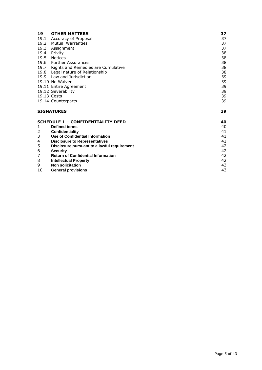| 19   | <b>OTHER MATTERS</b>                        | 37 |
|------|---------------------------------------------|----|
|      | 19.1 Accuracy of Proposal                   | 37 |
| 19.2 | <b>Mutual Warranties</b>                    | 37 |
| 19.3 | Assignment                                  | 37 |
| 19.4 | Privity                                     | 38 |
| 19.5 | <b>Notices</b>                              | 38 |
|      | 19.6 Further Assurances                     | 38 |
|      | 19.7 Rights and Remedies are Cumulative     | 38 |
|      | 19.8 Legal nature of Relationship           | 38 |
|      | 19.9 Law and Jurisdiction                   | 39 |
|      | 19.10 No Waiver                             | 39 |
|      | 19.11 Entire Agreement                      | 39 |
|      | 19.12 Severability                          | 39 |
|      | 19.13 Costs                                 | 39 |
|      | 19.14 Counterparts                          | 39 |
|      | <b>SIGNATURES</b>                           | 39 |
|      | <b>SCHEDULE 1 - CONFIDENTIALITY DEED</b>    | 40 |
| 1    | <b>Defined terms</b>                        | 40 |
| 2    | Confidentiality                             | 41 |
| 3    | <b>Use of Confidential Information</b>      | 41 |
| 4    | <b>Disclosure to Representatives</b>        | 41 |
| 5    | Disclosure pursuant to a lawful requirement | 42 |
| 6    | <b>Security</b>                             | 42 |
| 7    | <b>Return of Confidential Information</b>   | 42 |

| <b>Intellectual Property</b> |  |
|------------------------------|--|
|                              |  |

- 
- exploration and the solution of the solution of the solution of the solution of the solution of the solution of the solution of the solution of the solution of the solution of the solution of the solution of the solution o 10 **General [provisions](#page-42-1)** 43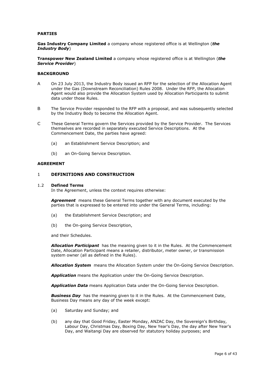#### **PARTIES**

**Gas Industry Company Limited** a company whose registered office is at Wellington (*the Industry Body*)

**Transpower New Zealand Limited** a company whose registered office is at Wellington (*the Service Provider*)

#### **BACKGROUND**

- A On 23 July 2013, the Industry Body issued an RFP for the selection of the Allocation Agent under the Gas (Downstream Reconciliation) Rules 2008. Under the RFP, the Allocation Agent would also provide the Allocation System used by Allocation Participants to submit data under those Rules.
- B The Service Provider responded to the RFP with a proposal, and was subsequently selected by the Industry Body to become the Allocation Agent.
- C These General Terms govern the Services provided by the Service Provider. The Services themselves are recorded in separately executed Service Descriptions. At the Commencement Date, the parties have agreed:
	- (a) an Establishment Service Description; and
	- (b) an On-Going Service Description.

#### **AGREEMENT**

#### <span id="page-5-0"></span>1 **DEFINITIONS AND CONSTRUCTION**

#### <span id="page-5-1"></span>1.2 **Defined Terms**

In the Agreement, unless the context requires otherwise:

*Agreement* means these General Terms together with any document executed by the parties that is expressed to be entered into under the General Terms, including:

- (a) the Establishment Service Description; and
- (b) the On-going Service Description,

and their Schedules.

*Allocation Participant* has the meaning given to it in the Rules. At the Commencement Date, Allocation Participant means a retailer, distributor, meter owner, or transmission system owner (all as defined in the Rules).

*Allocation System* means the Allocation System under the On-Going Service Description.

*Application* means the Application under the On-Going Service Description.

*Application Data* means Application Data under the On-Going Service Description.

**Business Day** has the meaning given to it in the Rules. At the Commencement Date, Business Day means any day of the week except:

- (a) Saturday and Sunday; and
- (b) any day that Good Friday, Easter Monday, ANZAC Day, the Sovereign's Birthday, Labour Day, Christmas Day, Boxing Day, New Year's Day, the day after New Year's Day, and Waitangi Day are observed for statutory holiday purposes; and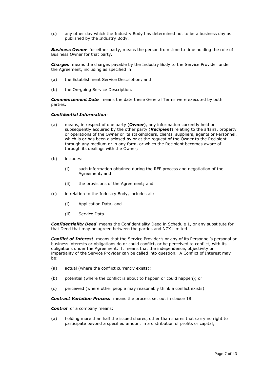(c) any other day which the Industry Body has determined not to be a business day as published by the Industry Body.

**Business Owner** for either party, means the person from time to time holding the role of Business Owner for that party.

*Charges* means the charges payable by the Industry Body to the Service Provider under the Agreement, including as specified in:

- (a) the Establishment Service Description; and
- (b) the On-going Service Description.

*Commencement Date* means the date these General Terms were executed by both parties.

#### *Confidential Information:*

- (a) means, in respect of one party (*Owner*), any information currently held or subsequently acquired by the other party (*Recipient*) relating to the affairs, property or operations of the Owner or its stakeholders, clients, suppliers, agents or Personnel, which is or has been disclosed by or at the request of the Owner to the Recipient through any medium or in any form, or which the Recipient becomes aware of through its dealings with the Owner;
- (b) includes:
	- (i) such information obtained during the RFP process and negotiation of the Agreement; and
	- (ii) the provisions of the Agreement; and
- (c) in relation to the Industry Body, includes all:
	- (i) Application Data; and
	- (ii) Service Data.

*Confidentiality Deed* means the Confidentiality Deed in Schedule 1, or any substitute for that Deed that may be agreed between the parties and NZX Limited.

**Conflict of Interest** means that the Service Provider's or any of its Personnel's personal or business interests or obligations do or could conflict, or be perceived to conflict, with its obligations under the Agreement. It means that the independence, objectivity or impartiality of the Service Provider can be called into question. A Conflict of Interest may be:

- (a) actual (where the conflict currently exists);
- (b) potential (where the conflict is about to happen or could happen); or
- (c) perceived (where other people may reasonably think a conflict exists).

*Contract Variation Process* means the process set out in clause [18.](#page-33-3)

*Control* of a company means:

(a) holding more than half the issued shares, other than shares that carry no right to participate beyond a specified amount in a distribution of profits or capital;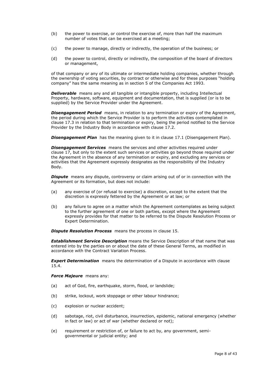- (b) the power to exercise, or control the exercise of, more than half the maximum number of votes that can be exercised at a meeting;
- (c) the power to manage, directly or indirectly, the operation of the business; or
- (d) the power to control, directly or indirectly, the composition of the board of directors or management,

of that company or any of its ultimate or intermediate holding companies, whether through the ownership of voting securities, by contract or otherwise and for these purposes "holding company" has the same meaning as in section 5 of the Companies Act 1993.

**Deliverable** means any and all tangible or intangible property, including Intellectual Property, hardware, software, equipment and documentation, that is supplied (or is to be supplied) by the Service Provider under the Agreement.

**Disengagement Period** means, in relation to any termination or expiry of the Agreement, the period during which the Service Provider is to perform the activities contemplated in clause [17.3](#page-31-3) in relation to that termination or expiry, being the period notified to the Service Provider by the Industry Body in accordance with clause [17.2.](#page-31-2)

**Disengagement Plan** has the meaning given to it in clause [17.1](#page-31-1) (Disengagement Plan).

**Disengagement Services** means the services and other activities required under clause [17,](#page-31-0) but only to the extent such services or activities go beyond those required under the Agreement in the absence of any termination or expiry, and excluding any services or activities that the Agreement expressly designates as the responsibility of the Industry Body.

**Dispute** means any dispute, controversy or claim arising out of or in connection with the Agreement or its formation, but does not include:

- (a) any exercise of (or refusal to exercise) a discretion, except to the extent that the discretion is expressly fettered by the Agreement or at law; or
- (b) any failure to agree on a matter which the Agreement contemplates as being subject to the further agreement of one or both parties, except where the Agreement expressly provides for that matter to be referred to the Dispute Resolution Process or Expert Determination.

**Dispute Resolution Process** means the process in clause [15.](#page-25-6)

*Establishment Service Description* means the Service Description of that name that was entered into by the parties on or about the date of these General Terms, as modified in accordance with the Contract Variation Process.

**Expert Determination** means the determination of a Dispute in accordance with clause [15.4.](#page-26-2)

#### *Force Majeure* means any:

- (a) act of God, fire, earthquake, storm, flood, or landslide;
- (b) strike, lockout, work stoppage or other labour hindrance;
- (c) explosion or nuclear accident;
- (d) sabotage, riot, civil disturbance, insurrection, epidemic, national emergency (whether in fact or law) or act of war (whether declared or not);
- (e) requirement or restriction of, or failure to act by, any government, semigovernmental or judicial entity; and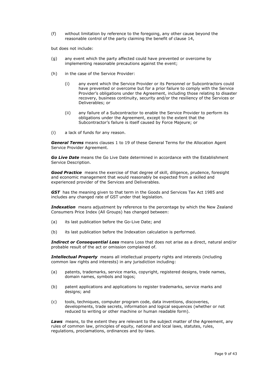(f) without limitation by reference to the foregoing, any other cause beyond the reasonable control of the party claiming the benefit of clause [14,](#page-25-0)

but does not include:

- (g) any event which the party affected could have prevented or overcome by implementing reasonable precautions against the event;
- (h) in the case of the Service Provider:
	- (i) any event which the Service Provider or its Personnel or Subcontractors could have prevented or overcome but for a prior failure to comply with the Service Provider's obligations under the Agreement, including those relating to disaster recovery, business continuity, security and/or the resiliency of the Services or Deliverables; or
	- (ii) any failure of a Subcontractor to enable the Service Provider to perform its obligations under the Agreement, except to the extent that the Subcontractor's failure is itself caused by Force Majeure; or
- (i) a lack of funds for any reason.

*General Terms* means clauses [1](#page-5-0) to [19](#page-36-2) of these General Terms for the Allocation Agent Service Provider Agreement.

*Go Live Date* means the Go Live Date determined in accordance with the Establishment Service Description.

**Good Practice** means the exercise of that degree of skill, diligence, prudence, foresight and economic management that would reasonably be expected from a skilled and experienced provider of the Services and Deliverables.

*GST* has the meaning given to that term in the Goods and Services Tax Act 1985 and includes any changed rate of GST under that legislation.

**Indexation** means adjustment by reference to the percentage by which the New Zealand Consumers Price Index (All Groups) has changed between:

- (a) its last publication before the Go-Live Date; and
- (b) its last publication before the Indexation calculation is performed.

*Indirect or Consequential Loss* means Loss that does not arise as a direct, natural and/or probable result of the act or omission complained of.

**Intellectual Property** means all intellectual property rights and interests (including common law rights and interests) in any jurisdiction including:

- (a) patents, trademarks, service marks, copyright, registered designs, trade names, domain names, symbols and logos;
- (b) patent applications and applications to register trademarks, service marks and designs; and
- (c) tools, techniques, computer program code, data inventions, discoveries, developments, trade secrets, information and logical sequences (whether or not reduced to writing or other machine or human readable form).

**Laws** means, to the extent they are relevant to the subject matter of the Agreement, any rules of common law, principles of equity, national and local laws, statutes, rules, regulations, proclamations, ordinances and by-laws.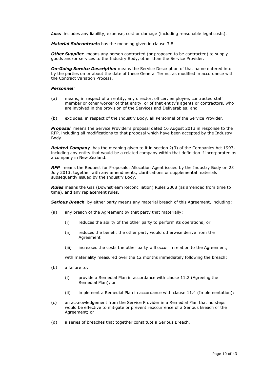**Loss** includes any liability, expense, cost or damage (including reasonable legal costs).

*Material Subcontracts* has the meaning given in clause [3.8.](#page-14-4)

**Other Supplier** means any person contracted (or proposed to be contracted) to supply goods and/or services to the Industry Body, other than the Service Provider.

*On-Going Service Description* means the Service Description of that name entered into by the parties on or about the date of these General Terms, as modified in accordance with the Contract Variation Process.

#### *Personnel:*

- (a) means, in respect of an entity, any director, officer, employee, contracted staff member or other worker of that entity, or of that entity's agents or contractors, who are involved in the provision of the Services and Deliverables; and
- (b) excludes, in respect of the Industry Body, all Personnel of the Service Provider.

*Proposal* means the Service Provider's proposal dated 16 August 2013 in response to the RFP, including all modifications to that proposal which have been accepted by the Industry Body.

*Related Company* has the meaning given to it in section 2(3) of the Companies Act 1993, including any entity that would be a related company within that definition if incorporated as a company in New Zealand.

*RFP* means the Request for Proposals: Allocation Agent issued by the Industry Body on 23 July 2013, together with any amendments, clarifications or supplemental materials subsequently issued by the Industry Body.

*Rules* means the Gas (Downstream Reconciliation) Rules 2008 (as amended from time to time), and any replacement rules.

**Serious Breach** by either party means any material breach of this Agreement, including:

- (a) any breach of the Agreement by that party that materially:
	- (i) reduces the ability of the other party to perform its operations; or
	- (ii) reduces the benefit the other party would otherwise derive from the Agreement
	- (iii) increases the costs the other party will occur in relation to the Agreement,

with materiality measured over the 12 months immediately following the breach;

- (b) a failure to:
	- (i) provide a Remedial Plan in accordance with clause [11.2](#page-22-3) (Agreeing the Remedial Plan); or
	- (ii) implement a Remedial Plan in accordance with clause [11.4](#page-23-1) (Implementation);
- (c) an acknowledgement from the Service Provider in a Remedial Plan that no steps would be effective to mitigate or prevent reoccurrence of a Serious Breach of the Agreement; or
- (d) a series of breaches that together constitute a Serious Breach.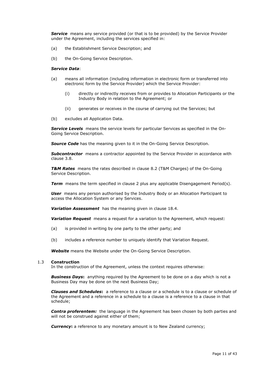**Service** means any service provided (or that is to be provided) by the Service Provider under the Agreement, including the services specified in:

- (a) the Establishment Service Description; and
- (b) the On-Going Service Description.

#### *Service Data*:

- (a) means all information (including information in electronic form or transferred into electronic form by the Service Provider) which the Service Provider:
	- (i) directly or indirectly receives from or provides to Allocation Participants or the Industry Body in relation to the Agreement; or
	- (ii) generates or receives in the course of carrying out the Services; but
- (b) excludes all Application Data.

*Service Levels* means the service levels for particular Services as specified in the On-Going Service Description.

**Source Code** has the meaning given to it in the On-Going Service Description.

**Subcontractor** means a contractor appointed by the Service Provider in accordance with clause [3.8.](#page-14-4)

*T&M Rates* means the rates described in clause 8.2 (T&M Charges) of the On-Going Service Description.

**Term** means the term specified in clause [2](#page-12-0) plus any applicable Disengagement Period(s).

**User** means any person authorised by the Industry Body or an Allocation Participant to access the Allocation System or any Services.

*Variation Assessment* has the meaning given in clause [18.4.](#page-34-1)

*Variation Request* means a request for a variation to the Agreement, which request:

- (a) is provided in writing by one party to the other party; and
- (b) includes a reference number to uniquely identify that Variation Request.

*Website* means the Website under the On-Going Service Description.

#### <span id="page-10-0"></span>1.3 **Construction**

In the construction of the Agreement, unless the context requires otherwise:

*Business Days***:** anything required by the Agreement to be done on a day which is not a Business Day may be done on the next Business Day;

*Clauses and Schedules***:** a reference to a clause or a schedule is to a clause or schedule of the Agreement and a reference in a schedule to a clause is a reference to a clause in that schedule;

**Contra proferentem:** the language in the Agreement has been chosen by both parties and will not be construed against either of them;

**Currency:** a reference to any monetary amount is to New Zealand currency;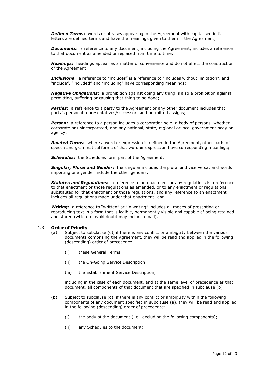**Defined Terms:** words or phrases appearing in the Agreement with capitalised initial letters are defined terms and have the meanings given to them in the Agreement;

**Documents:** a reference to any document, including the Agreement, includes a reference to that document as amended or replaced from time to time;

*Headings***:** headings appear as a matter of convenience and do not affect the construction of the Agreement;

**Inclusions:** a reference to "includes" is a reference to "includes without limitation", and "include", "included" and "including" have corresponding meanings;

*Negative Obligations***:** a prohibition against doing any thing is also a prohibition against permitting, suffering or causing that thing to be done;

**Parties:** a reference to a party to the Agreement or any other document includes that party's personal representatives/successors and permitted assigns;

**Person:** a reference to a person includes a corporation sole, a body of persons, whether corporate or unincorporated, and any national, state, regional or local government body or agency;

*Related Terms***:** where a word or expression is defined in the Agreement, other parts of speech and grammatical forms of that word or expression have corresponding meanings;

*Schedules***:** the Schedules form part of the Agreement;

*Singular, Plural and Gender***:** the singular includes the plural and vice versa, and words importing one gender include the other genders;

*Statutes and Regulations***:** a reference to an enactment or any regulations is a reference to that enactment or those regulations as amended, or to any enactment or regulations substituted for that enactment or those regulations, and any reference to an enactment includes all regulations made under that enactment; and

*Writing***:** a reference to "written" or "in writing" includes all modes of presenting or reproducing text in a form that is legible, permanently visible and capable of being retained and stored (which to avoid doubt may include email).

#### <span id="page-11-0"></span>1.3 **Order of Priority**

- (a) Subject to subclause (c), if there is any conflict or ambiguity between the various documents comprising the Agreement, they will be read and applied in the following (descending) order of precedence:
	- (i) these General Terms;
	- (ii) the On-Going Service Description;
	- (iii) the Establishment Service Description,

including in the case of each document, and at the same level of precedence as that document, all components of that document that are specified in subclause (b).

- (b) Subject to subclause (c), if there is any conflict or ambiguity within the following components of any document specified in subclause (a), they will be read and applied in the following (descending) order of precedence:
	- (i) the body of the document (i.e. excluding the following components);
	- (ii) any Schedules to the document;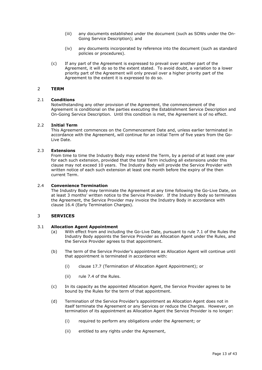- (iii) any documents established under the document (such as SOWs under the On-Going Service Description); and
- (iv) any documents incorporated by reference into the document (such as standard policies or procedures).
- (c) If any part of the Agreement is expressed to prevail over another part of the Agreement, it will do so to the extent stated. To avoid doubt, a variation to a lower priority part of the Agreement will only prevail over a higher priority part of the Agreement to the extent it is expressed to do so.

## <span id="page-12-0"></span>2 **TERM**

#### <span id="page-12-1"></span>2.1 **Conditions**

Notwithstanding any other provision of the Agreement, the commencement of the Agreement is conditional on the parties executing the Establishment Service Description and On-Going Service Description. Until this condition is met, the Agreement is of no effect.

#### <span id="page-12-2"></span>2.2 **Initial Term**

This Agreement commences on the Commencement Date and, unless earlier terminated in accordance with the Agreement, will continue for an initial Term of five years from the Go-Live Date.

## <span id="page-12-3"></span>2.3 **Extensions**

From time to time the Industry Body may extend the Term, by a period of at least one year for each such extension, provided that the total Term including all extensions under this clause may not exceed 10 years. The Industry Body will provide the Service Provider with written notice of each such extension at least one month before the expiry of the then current Term.

## <span id="page-12-4"></span>2.4 **Convenience Termination**

The Industry Body may terminate the Agreement at any time following the Go-Live Date, on at least 3 months' written notice to the Service Provider. If the Industry Body so terminates the Agreement, the Service Provider may invoice the Industry Body in accordance with clause [16.4](#page-29-1) (Early Termination Charges).

## <span id="page-12-5"></span>3 **SERVICES**

#### <span id="page-12-6"></span>3.1 **Allocation Agent Appointment**

- (a) With effect from and including the Go-Live Date, pursuant to rule 7.1 of the Rules the Industry Body appoints the Service Provider as Allocation Agent under the Rules, and the Service Provider agrees to that appointment.
- (b) The term of the Service Provider's appointment as Allocation Agent will continue until that appointment is terminated in accordance with:
	- (i) clause [17.7](#page-33-1) (Termination of Allocation Agent Appointment); or
	- (ii) rule 7.4 of the Rules.
- (c) In its capacity as the appointed Allocation Agent, the Service Provider agrees to be bound by the Rules for the term of that appointment.
- (d) Termination of the Service Provider's appointment as Allocation Agent does not in itself terminate the Agreement or any Services or reduce the Charges. However, on termination of its appointment as Allocation Agent the Service Provider is no longer:
	- (i) required to perform any obligations under the Agreement; or
	- (ii) entitled to any rights under the Agreement,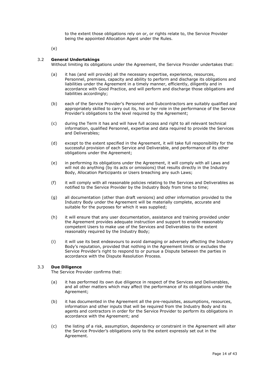to the extent those obligations rely on or, or rights relate to, the Service Provider being the appointed Allocation Agent under the Rules.

(e)

#### <span id="page-13-0"></span>3.2 **General Undertakings**

Without limiting its obligations under the Agreement, the Service Provider undertakes that:

- (a) it has (and will provide) all the necessary expertise, experience, resources, Personnel, premises, capacity and ability to perform and discharge its obligations and liabilities under the Agreement in a timely manner, efficiently, diligently and in accordance with Good Practice, and will perform and discharge those obligations and liabilities accordingly;
- (b) each of the Service Provider's Personnel and Subcontractors are suitably qualified and appropriately skilled to carry out its, his or her role in the performance of the Service Provider's obligations to the level required by the Agreement;
- (c) during the Term it has and will have full access and right to all relevant technical information, qualified Personnel, expertise and data required to provide the Services and Deliverables;
- (d) except to the extent specified in the Agreement, it will take full responsibility for the successful provision of each Service and Deliverable, and performance of its other obligations under the Agreement;
- (e) in performing its obligations under the Agreement, it will comply with all Laws and will not do anything (by its acts or omissions) that results directly in the Industry Body, Allocation Participants or Users breaching any such Laws;
- (f) it will comply with all reasonable policies relating to the Services and Deliverables as notified to the Service Provider by the Industry Body from time to time;
- (g) all documentation (other than draft versions) and other information provided to the Industry Body under the Agreement will be materially complete, accurate and suitable for the purposes for which it was supplied;
- (h) it will ensure that any user documentation, assistance and training provided under the Agreement provides adequate instruction and support to enable reasonably competent Users to make use of the Services and Deliverables to the extent reasonably required by the Industry Body;
- (i) it will use its best endeavours to avoid damaging or adversely affecting the Industry Body's reputation, provided that nothing in the Agreement limits or excludes the Service Provider's right to respond to or pursue a Dispute between the parties in accordance with the Dispute Resolution Process.

#### <span id="page-13-1"></span>3.3 **Due Diligence**

The Service Provider confirms that:

- (a) it has performed its own due diligence in respect of the Services and Deliverables, and all other matters which may affect the performance of its obligations under the Agreement;
- (b) it has documented in the Agreement all the pre-requisites, assumptions, resources, information and other inputs that will be required from the Industry Body and its agents and contractors in order for the Service Provider to perform its obligations in accordance with the Agreement; and
- (c) the listing of a risk, assumption, dependency or constraint in the Agreement will alter the Service Provider's obligations only to the extent expressly set out in the Agreement.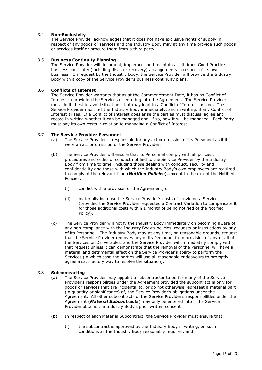## <span id="page-14-0"></span>3.4 **Non-Exclusivity**

The Service Provider acknowledges that it does not have exclusive rights of supply in respect of any goods or services and the Industry Body may at any time provide such goods or services itself or procure them from a third party.

#### <span id="page-14-1"></span>3.5 **Business Continuity Planning**

The Service Provider will document, implement and maintain at all times Good Practice business continuity (including disaster recovery) arrangements in respect of its own business. On request by the Industry Body, the Service Provider will provide the Industry Body with a copy of the Service Provider's business continuity plans.

## <span id="page-14-2"></span>3.6 **Conflicts of Interest**

The Service Provider warrants that as at the Commencement Date, it has no Conflict of Interest in providing the Services or entering into the Agreement. The Service Provider must do its best to avoid situations that may lead to a Conflict of Interest arising. The Service Provider must tell the Industry Body immediately, and in writing, if any Conflict of Interest arises. If a Conflict of Interest does arise the parties must discuss, agree and record in writing whether it can be managed and, if so, how it will be managed. Each Party must pay its own costs in relation to managing a Conflict of Interest.

#### <span id="page-14-3"></span>3.7 **The Service Provider Personnel**

- (a) The Service Provider is responsible for any act or omission of its Personnel as if it were an act or omission of the Service Provider.
- (b) The Service Provider will ensure that its Personnel comply with all policies, procedures and codes of conduct notified to the Service Provider by the Industry Body from time to time, including those dealing with conduct, security and confidentiality and those with which the Industry Body's own employees are required to comply at the relevant time (*Notified Policies*), except to the extent the Notified Policies:
	- (i) conflict with a provision of the Agreement; or
	- (ii) materially increase the Service Provider's costs of providing a Service (provided the Service Provider requested a Contract Variation to compensate it for those additional costs within 1 month of being notified of the Notified Policy).
- (c) The Service Provider will notify the Industry Body immediately on becoming aware of any non-compliance with the Industry Body's policies, requests or instructions by any of its Personnel. The Industry Body may at any time, on reasonable grounds, request that the Service Provider removes any of its Personnel from provision of any or all of the Services or Deliverables, and the Service Provider will immediately comply with that request unless it can demonstrate that the removal of the Personnel will have a material and detrimental effect on the Service Provider's ability to perform the Services (in which case the parties will use all reasonable endeavours to promptly agree a satisfactory way to resolve the situation).

#### <span id="page-14-4"></span>3.8 **Subcontracting**

- (a) The Service Provider may appoint a subcontractor to perform any of the Service Provider's responsibilities under the Agreement provided the subcontract is only for goods or services that are incidental to, or do not otherwise represent a material part (in quantity or significance) of, the Service Provider's obligations under the Agreement. All other subcontracts of the Service Provider's responsibilities under the Agreement (*Material Subcontracts*) may only be entered into if the Service Provider obtains the Industry Body's prior written consent.
- (b) In respect of each Material Subcontract, the Service Provider must ensure that:
	- (i) the subcontract is approved by the Industry Body in writing, on such conditions as the Industry Body reasonably requires; and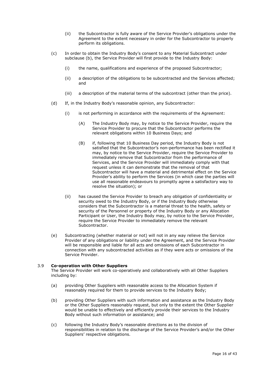- (ii) the Subcontractor is fully aware of the Service Provider's obligations under the Agreement to the extent necessary in order for the Subcontractor to properly perform its obligations.
- (c) In order to obtain the Industry Body's consent to any Material Subcontract under subclause (b), the Service Provider will first provide to the Industry Body:
	- (i) the name, qualifications and experience of the proposed Subcontractor;
	- (ii) a description of the obligations to be subcontracted and the Services affected; and
	- (iii) a description of the material terms of the subcontract (other than the price).
- (d) If, in the Industry Body's reasonable opinion, any Subcontractor:
	- (i) is not performing in accordance with the requirements of the Agreement:
		- (A) The Industry Body may, by notice to the Service Provider, require the Service Provider to procure that the Subcontractor performs the relevant obligations within 10 Business Days; and
		- (B) if, following that 10 Business Day period, the Industry Body is not satisfied that the Subcontractor's non-performance has been rectified it may, by notice to the Service Provider, require the Service Provider to immediately remove that Subcontractor from the performance of Services, and the Service Provider will immediately comply with that request unless it can demonstrate that the removal of that Subcontractor will have a material and detrimental effect on the Service Provider's ability to perform the Services (in which case the parties will use all reasonable endeavours to promptly agree a satisfactory way to resolve the situation); or
	- (ii) has caused the Service Provider to breach any obligation of confidentiality or security owed to the Industry Body, or if the Industry Body otherwise considers that the Subcontractor is a material threat to the health, safety or security of the Personnel or property of the Industry Body or any Allocation Participant or User, the Industry Body may, by notice to the Service Provider, require the Service Provider to immediately remove the relevant Subcontractor.
- (e) Subcontracting (whether material or not) will not in any way relieve the Service Provider of any obligations or liability under the Agreement, and the Service Provider will be responsible and liable for all acts and omissions of each Subcontractor in connection with any subcontracted activities as if they were acts or omissions of the Service Provider.

## <span id="page-15-0"></span>3.9 **Co-operation with Other Suppliers**

The Service Provider will work co-operatively and collaboratively with all Other Suppliers including by:

- (a) providing Other Suppliers with reasonable access to the Allocation System if reasonably required for them to provide services to the Industry Body;
- (b) providing Other Suppliers with such information and assistance as the Industry Body or the Other Suppliers reasonably request, but only to the extent the Other Supplier would be unable to effectively and efficiently provide their services to the Industry Body without such information or assistance; and
- (c) following the Industry Body's reasonable directions as to the division of responsibilities in relation to the discharge of the Service Provider's and/or the Other Suppliers' respective obligations.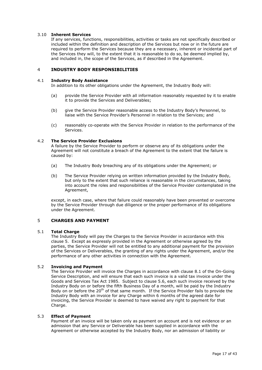## <span id="page-16-0"></span>3.10 **Inherent Services**

If any services, functions, responsibilities, activities or tasks are not specifically described or included within the definition and description of the Services but now or in the future are required to perform the Services because they are a necessary, inherent or incidental part of the Services they will, to the extent that it is reasonable to do so, be deemed implied by, and included in, the scope of the Services, as if described in the Agreement.

## <span id="page-16-1"></span>4 **INDUSTRY BODY RESPONSIBILITIES**

#### <span id="page-16-2"></span>4.1 **Industry Body Assistance**

In addition to its other obligations under the Agreement, the Industry Body will:

- (a) provide the Service Provider with all information reasonably requested by it to enable it to provide the Services and Deliverables;
- (b) give the Service Provider reasonable access to the Industry Body's Personnel, to liaise with the Service Provider's Personnel in relation to the Services; and
- (c) reasonably co-operate with the Service Provider in relation to the performance of the Services.

#### <span id="page-16-3"></span>4.2 **The Service Provider Exclusions**

A failure by the Service Provider to perform or observe any of its obligations under the Agreement will not constitute a breach of the Agreement to the extent that the failure is caused by:

- (a) The Industry Body breaching any of its obligations under the Agreement; or
- (b) The Service Provider relying on written information provided by the Industry Body, but only to the extent that such reliance is reasonable in the circumstances, taking into account the roles and responsibilities of the Service Provider contemplated in the Agreement,

except, in each case, where that failure could reasonably have been prevented or overcome by the Service Provider through due diligence or the proper performance of its obligations under the Agreement.

## <span id="page-16-4"></span>5 **CHARGES AND PAYMENT**

#### <span id="page-16-5"></span>5.1 **Total Charge**

The Industry Body will pay the Charges to the Service Provider in accordance with this clause [5.](#page-16-4) Except as expressly provided in the Agreement or otherwise agreed by the parties, the Service Provider will not be entitled to any additional payment for the provision of the Services or Deliverables, the granting of any rights under the Agreement, and/or the performance of any other activities in connection with the Agreement.

## <span id="page-16-6"></span>5.2 **Invoicing and Payment**

The Service Provider will invoice the Charges in accordance with clause 8.1 of the On-Going Service Description, and will ensure that each such invoice is a valid tax invoice under the Goods and Services Tax Act 1985. Subject to clause [5.6,](#page-17-2) each such invoice received by the Industry Body on or before the fifth Business Day of a month, will be paid by the Industry Body on or before the 20<sup>th</sup> of that same month. If the Service Provider fails to provide the Industry Body with an invoice for any Charge within 6 months of the agreed date for invoicing, the Service Provider is deemed to have waived any right to payment for that Charge.

#### <span id="page-16-7"></span>5.3 **Effect of Payment**

Payment of an invoice will be taken only as payment on account and is not evidence or an admission that any Service or Deliverable has been supplied in accordance with the Agreement or otherwise accepted by the Industry Body, nor an admission of liability or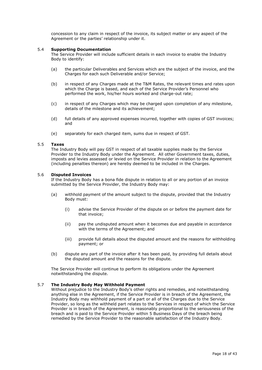concession to any claim in respect of the invoice, its subject matter or any aspect of the Agreement or the parties' relationship under it.

#### <span id="page-17-0"></span>5.4 **Supporting Documentation**

The Service Provider will include sufficient details in each invoice to enable the Industry Body to identify:

- (a) the particular Deliverables and Services which are the subject of the invoice, and the Charges for each such Deliverable and/or Service;
- (b) in respect of any Charges made at the T&M Rates, the relevant times and rates upon which the Charge is based, and each of the Service Provider's Personnel who performed the work, his/her hours worked and charge-out rate;
- (c) in respect of any Charges which may be charged upon completion of any milestone, details of the milestone and its achievement;
- (d) full details of any approved expenses incurred, together with copies of GST invoices; and
- (e) separately for each charged item, sums due in respect of GST.

#### <span id="page-17-1"></span>5.5 **Taxes**

The Industry Body will pay GST in respect of all taxable supplies made by the Service Provider to the Industry Body under the Agreement. All other Government taxes, duties, imposts and levies assessed or levied on the Service Provider in relation to the Agreement (including penalties thereon) are hereby deemed to be included in the Charges.

#### <span id="page-17-2"></span>5.6 **Disputed Invoices**

If the Industry Body has a bona fide dispute in relation to all or any portion of an invoice submitted by the Service Provider, the Industry Body may:

- (a) withhold payment of the amount subject to the dispute, provided that the Industry Body must:
	- (i) advise the Service Provider of the dispute on or before the payment date for that invoice;
	- (ii) pay the undisputed amount when it becomes due and payable in accordance with the terms of the Agreement; and
	- (iii) provide full details about the disputed amount and the reasons for withholding payment; or
- (b) dispute any part of the invoice after it has been paid, by providing full details about the disputed amount and the reasons for the dispute.

The Service Provider will continue to perform its obligations under the Agreement notwithstanding the dispute.

#### <span id="page-17-3"></span>5.7 **The Industry Body May Withhold Payment**

Without prejudice to the Industry Body's other rights and remedies, and notwithstanding anything else in the Agreement, if the Service Provider is in breach of the Agreement, the Industry Body may withhold payment of a part or all of the Charges due to the Service Provider, so long as the withheld part relates to the Services in respect of which the Service Provider is in breach of the Agreement, is reasonably proportional to the seriousness of the breach and is paid to the Service Provider within 5 Business Days of the breach being remedied by the Service Provider to the reasonable satisfaction of the Industry Body.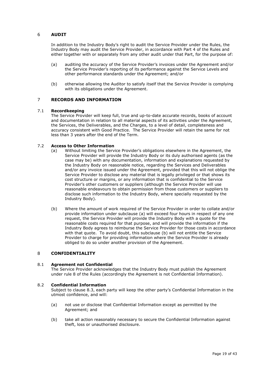## <span id="page-18-0"></span>6 **AUDIT**

In addition to the Industry Body's right to audit the Service Provider under the Rules, the Industry Body may audit the Service Provider, in accordance with Part 4 of the Rules and either together with or separately from any other audit under that Part, for the purpose of:

- (a) auditing the accuracy of the Service Provider's invoices under the Agreement and/or the Service Provider's reporting of its performance against the Service Levels and other performance standards under the Agreement; and/or
- (b) otherwise allowing the Auditor to satisfy itself that the Service Provider is complying with its obligations under the Agreement.

## <span id="page-18-1"></span>7 **RECORDS AND INFORMATION**

#### <span id="page-18-2"></span>7.1 **Recordkeeping**

The Service Provider will keep full, true and up-to-date accurate records, books of account and documentation in relation to all material aspects of its activities under the Agreement, the Services, the Deliverables, and the Charges, to a level of detail, completeness and accuracy consistent with Good Practice. The Service Provider will retain the same for not less than 3 years after the end of the Term.

#### <span id="page-18-3"></span>7.2 **Access to Other Information**

- (a) Without limiting the Service Provider's obligations elsewhere in the Agreement, the Service Provider will provide the Industry Body or its duly authorised agents (as the case may be) with any documentation, information and explanations requested by the Industry Body on reasonable notice, regarding the Services and Deliverables and/or any invoice issued under the Agreement, provided that this will not oblige the Service Provider to disclose any material that is legally privileged or that shows its cost structure or margins, or any information that is confidential to the Service Provider's other customers or suppliers (although the Service Provider will use reasonable endeavours to obtain permission from those customers or suppliers to disclose such information to the Industry Body, where specially requested by the Industry Body).
- <span id="page-18-7"></span>(b) Where the amount of work required of the Service Provider in order to collate and/or provide information under subclause (a) will exceed four hours in respect of any one request, the Service Provider will provide the Industry Body with a quote for the reasonable costs required for that purpose, and will provide the information if the Industry Body agrees to reimburse the Service Provider for those costs in accordance with that quote. To avoid doubt, this subclause [\(b\)](#page-18-7) will not entitle the Service Provider to charge for providing information where the Service Provider is already obliged to do so under another provision of the Agreement.

## <span id="page-18-4"></span>8 **CONFIDENTIALITY**

#### <span id="page-18-5"></span>8.1 **Agreement not Confidential**

The Service Provider acknowledges that the Industry Body must publish the Agreement under rule 8 of the Rules (accordingly the Agreement is not Confidential Information).

#### <span id="page-18-6"></span>8.2 **Confidential Information**

Subject to clause [8.3,](#page-19-0) each party will keep the other party's Confidential Information in the utmost confidence, and will:

- (a) not use or disclose that Confidential Information except as permitted by the Agreement; and
- (b) take all action reasonably necessary to secure the Confidential Information against theft, loss or unauthorised disclosure.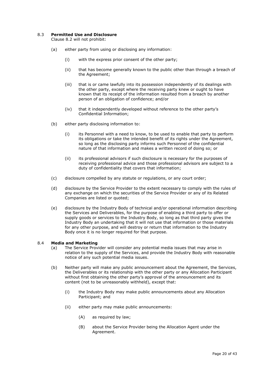## <span id="page-19-0"></span>8.3 **Permitted Use and Disclosure**

Clause [8.2](#page-18-6) will not prohibit:

- (a) either party from using or disclosing any information:
	- (i) with the express prior consent of the other party;
	- (ii) that has become generally known to the public other than through a breach of the Agreement;
	- (iii) that is or came lawfully into its possession independently of its dealings with the other party, except where the receiving party knew or ought to have known that its receipt of the information resulted from a breach by another person of an obligation of confidence; and/or
	- (iv) that it independently developed without reference to the other party's Confidential Information;
- (b) either party disclosing information to:
	- (i) its Personnel with a need to know, to be used to enable that party to perform its obligations or take the intended benefit of its rights under the Agreement, so long as the disclosing party informs such Personnel of the confidential nature of that information and makes a written record of doing so; or
	- (ii) its professional advisors if such disclosure is necessary for the purposes of receiving professional advice and those professional advisors are subject to a duty of confidentiality that covers that information;
- (c) disclosure compelled by any statute or regulations, or any court order;
- (d) disclosure by the Service Provider to the extent necessary to comply with the rules of any exchange on which the securities of the Service Provider or any of its Related Companies are listed or quoted;
- (e) disclosure by the Industry Body of technical and/or operational information describing the Services and Deliverables, for the purpose of enabling a third party to offer or supply goods or services to the Industry Body, so long as that third party gives the Industry Body an undertaking that it will not use that information or those materials for any other purpose, and will destroy or return that information to the Industry Body once it is no longer required for that purpose.

#### <span id="page-19-1"></span>8.4 **Media and Marketing**

- (a) The Service Provider will consider any potential media issues that may arise in relation to the supply of the Services, and provide the Industry Body with reasonable notice of any such potential media issues.
- (b) Neither party will make any public announcement about the Agreement, the Services, the Deliverables or its relationship with the other party or any Allocation Participant without first obtaining the other party's approval of the announcement and its content (not to be unreasonably withheld), except that:
	- (i) the Industry Body may make public announcements about any Allocation Participant; and
	- (ii) either party may make public announcements:
		- (A) as required by law;
		- (B) about the Service Provider being the Allocation Agent under the Agreement.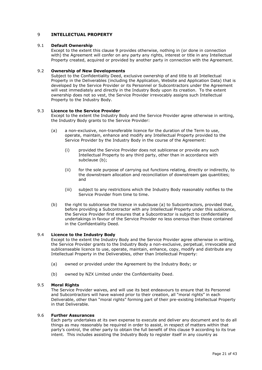## <span id="page-20-0"></span>9 **INTELLECTUAL PROPERTY**

#### <span id="page-20-1"></span>9.1 **Default Ownership**

Except to the extent this clause [9](#page-20-0) provides otherwise, nothing in (or done in connection with) the Agreement will confer on any party any rights, interest or title in any Intellectual Property created, acquired or provided by another party in connection with the Agreement.

## <span id="page-20-2"></span>9.2 **Ownership of New Developments**

Subject to the Confidentiality Deed, exclusive ownership of and title to all Intellectual Property in the Deliverables (including the Application, Website and Application Data) that is developed by the Service Provider or its Personnel or Subcontractors under the Agreement will vest immediately and directly in the Industry Body upon its creation. To the extent ownership does not so vest, the Service Provider irrevocably assigns such Intellectual Property to the Industry Body.

#### <span id="page-20-3"></span>9.3 **Licence to the Service Provider**

Except to the extent the Industry Body and the Service Provider agree otherwise in writing, the Industry Body grants to the Service Provider:

- (a) a non-exclusive, non-transferable licence for the duration of the Term to use, operate, maintain, enhance and modify any Intellectual Property provided to the Service Provider by the Industry Body in the course of the Agreement:
	- (i) provided the Service Provider does not sublicense or provide any such Intellectual Property to any third party, other than in accordance with subclause (b);
	- (ii) for the sole purpose of carrying out functions relating, directly or indirectly, to the downstream allocation and reconciliation of downstream gas quantities; and
	- (iii) subject to any restrictions which the Industry Body reasonably notifies to the Service Provider from time to time.
- (b) the right to sublicense the licence in subclause (a) to Subcontractors, provided that, before providing a Subcontractor with any Intellectual Property under this sublicence, the Service Provider first ensures that a Subcontractor is subject to confidentiality undertakings in favour of the Service Provider no less onerous than those contained in the Confidentiality Deed.

#### <span id="page-20-4"></span>9.4 **Licence to the Industry Body**

Except to the extent the Industry Body and the Service Provider agree otherwise in writing, the Service Provider grants to the Industry Body a non-exclusive, perpetual, irrevocable and sublicenseable licence to use, operate, maintain, enhance, copy, modify and distribute any Intellectual Property in the Deliverables, other than Intellectual Property:

- (a) owned or provided under the Agreement by the Industry Body; or
- (b) owned by NZX Limited under the Confidentiality Deed.

#### <span id="page-20-5"></span>9.5 **Moral Rights**

The Service Provider waives, and will use its best endeavours to ensure that its Personnel and Subcontractors will have waived prior to their creation, all "moral rights" in each Deliverable, other than "moral rights" forming part of their pre-existing Intellectual Property in that Deliverable.

## <span id="page-20-6"></span>9.6 **Further Assurances**

Each party undertakes at its own expense to execute and deliver any document and to do all things as may reasonably be required in order to assist, in respect of matters within that party's control, the other party to obtain the full benefit of this clause [9](#page-20-0) according to its true intent. This includes assisting the Industry Body to register itself in any country as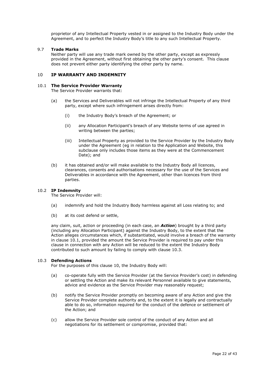proprietor of any Intellectual Property vested in or assigned to the Industry Body under the Agreement, and to perfect the Industry Body's title to any such Intellectual Property.

#### <span id="page-21-0"></span>9.7 **Trade Marks**

Neither party will use any trade mark owned by the other party, except as expressly provided in the Agreement, without first obtaining the other party's consent. This clause does not prevent either party identifying the other party by name.

## <span id="page-21-1"></span>10 **IP WARRANTY AND INDEMNITY**

#### <span id="page-21-2"></span>10.1 **The Service Provider Warranty**

<span id="page-21-5"></span>The Service Provider warrants that:

- (a) the Services and Deliverables will not infringe the Intellectual Property of any third party, except where such infringement arises directly from:
	- (i) the Industry Body's breach of the Agreement; or
	- (ii) any Allocation Participant's breach of any Website terms of use agreed in writing between the parties;
	- (iii) Intellectual Property as provided to the Service Provider by the Industry Body under the Agreement (eg in relation to the Application and Website, this subclause only includes those items as they were at the Commencement Date); and
- (b) it has obtained and/or will make available to the Industry Body all licences, clearances, consents and authorisations necessary for the use of the Services and Deliverables in accordance with the Agreement, other than licences from third parties.

#### <span id="page-21-3"></span>10.2 **IP Indemnity**

The Service Provider will:

- (a) indemnify and hold the Industry Body harmless against all Loss relating to; and
- (b) at its cost defend or settle,

any claim, suit, action or proceeding (in each case, an *Action*) brought by a third party (including any Allocation Participant) against the Industry Body, to the extent that the Action alleges circumstances which, if substantiated, would involve a breach of the warranty in clause [10.1,](#page-21-5) provided the amount the Service Provider is required to pay under this clause in connection with any Action will be reduced to the extent the Industry Body contributed to such amount by failing to comply with clause 10.3.

#### <span id="page-21-4"></span>10.3 **Defending Actions**

For the purposes of this clause [10,](#page-21-1) the Industry Body will:

- (a) co-operate fully with the Service Provider (at the Service Provider's cost) in defending or settling the Action and make its relevant Personnel available to give statements, advice and evidence as the Service Provider may reasonably request;
- (b) notify the Service Provider promptly on becoming aware of any Action and give the Service Provider complete authority and, to the extent it is legally and contractually able to do so, information required for the conduct of the defence or settlement of the Action; and
- (c) allow the Service Provider sole control of the conduct of any Action and all negotiations for its settlement or compromise, provided that: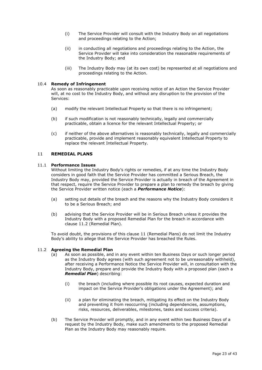- (i) The Service Provider will consult with the Industry Body on all negotiations and proceedings relating to the Action;
- (ii) in conducting all negotiations and proceedings relating to the Action, the Service Provider will take into consideration the reasonable requirements of the Industry Body; and
- (iii) The Industry Body may (at its own cost) be represented at all negotiations and proceedings relating to the Action.

#### <span id="page-22-0"></span>10.4 **Remedy of Infringement**

As soon as reasonably practicable upon receiving notice of an Action the Service Provider will, at no cost to the Industry Body, and without any disruption to the provision of the Services:

- (a) modify the relevant Intellectual Property so that there is no infringement;
- (b) if such modification is not reasonably technically, legally and commercially practicable, obtain a licence for the relevant Intellectual Property; or
- (c) if neither of the above alternatives is reasonably technically, legally and commercially practicable, provide and implement reasonably equivalent Intellectual Property to replace the relevant Intellectual Property.

#### <span id="page-22-1"></span>11 **REMEDIAL PLANS**

#### <span id="page-22-2"></span>11.1 **Performance Issues**

Without limiting the Industry Body's rights or remedies, if at any time the Industry Body considers in good faith that the Service Provider has committed a Serious Breach, the Industry Body may, provided the Service Provider is actually in breach of the Agreement in that respect, require the Service Provider to prepare a plan to remedy the breach by giving the Service Provider written notice (each a *Performance Notice*):

- (a) setting out details of the breach and the reasons why the Industry Body considers it to be a Serious Breach; and
- (b) advising that the Service Provider will be in Serious Breach unless it provides the Industry Body with a proposed Remedial Plan for the breach in accordance with clause [11.2](#page-22-3) (Remedial Plan).

To avoid doubt, the provisions of this clause [11](#page-22-1) (Remedial Plans) do not limit the Industry Body's ability to allege that the Service Provider has breached the Rules.

#### <span id="page-22-3"></span>11.2 **Agreeing the Remedial Plan**

- (a) As soon as possible, and in any event within ten Business Days or such longer period as the Industry Body agrees (with such agreement not to be unreasonably withheld), after receiving a Performance Notice the Service Provider will, in consultation with the Industry Body, prepare and provide the Industry Body with a proposed plan (each a *Remedial Plan*) describing:
	- (i) the breach (including where possible its root causes, expected duration and impact on the Service Provider's obligations under the Agreement); and
	- (ii) a plan for eliminating the breach, mitigating its effect on the Industry Body and preventing it from reoccurring (including dependencies, assumptions, risks, resources, deliverables, milestones, tasks and success criteria).
- (b) The Service Provider will promptly, and in any event within two Business Days of a request by the Industry Body, make such amendments to the proposed Remedial Plan as the Industry Body may reasonably require.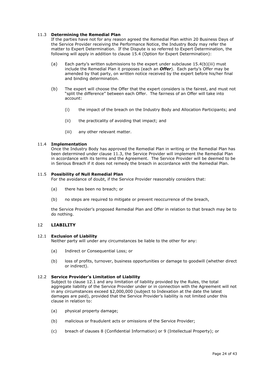## <span id="page-23-0"></span>11.3 **Determining the Remedial Plan**

If the parties have not for any reason agreed the Remedial Plan within 20 Business Days of the Service Provider receiving the Performance Notice, the Industry Body may refer the matter to Expert Determination. If the Dispute is so referred to Expert Determination, the following will apply in addition to clause [15.4](#page-26-2) (Option for Expert Determination):

- (a) Each party's written submissions to the expert under subclause [15.4\(b\)\(iii\)](#page-26-3) must include the Remedial Plan it proposes (each an *Offer*). Each party's Offer may be amended by that party, on written notice received by the expert before his/her final and binding determination.
- (b) The expert will choose the Offer that the expert considers is the fairest, and must not "split the difference" between each Offer. The fairness of an Offer will take into account:
	- (i) the impact of the breach on the Industry Body and Allocation Participants; and
	- (ii) the practicality of avoiding that impact; and
	- (iii) any other relevant matter.

#### <span id="page-23-1"></span>11.4 **Implementation**

Once the Industry Body has approved the Remedial Plan in writing or the Remedial Plan has been determined under clause [11.3,](#page-23-0) the Service Provider will implement the Remedial Plan in accordance with its terms and the Agreement. The Service Provider will be deemed to be in Serious Breach if it does not remedy the breach in accordance with the Remedial Plan.

#### <span id="page-23-2"></span>11.5 **Possibility of Null Remedial Plan**

For the avoidance of doubt, if the Service Provider reasonably considers that:

- (a) there has been no breach; or
- (b) no steps are required to mitigate or prevent reoccurrence of the breach,

the Service Provider's proposed Remedial Plan and Offer in relation to that breach may be to do nothing.

## <span id="page-23-3"></span>12 **LIABILITY**

#### <span id="page-23-4"></span>12.1 **Exclusion of Liability**

Neither party will under any circumstances be liable to the other for any:

- (a) Indirect or Consequential Loss; or
- (b) loss of profits, turnover, business opportunities or damage to goodwill (whether direct or indirect).

#### <span id="page-23-5"></span>12.2 **Service Provider's Limitation of Liability**

Subject to clause [12.1](#page-23-4) and any limitation of liability provided by the Rules, the total aggregate liability of the Service Provider under or in connection with the Agreement will not in any circumstances exceed \$2,000,000 (subject to Indexation at the date the latest damages are paid), provided that the Service Provider's liability is not limited under this clause in relation to:

- (a) physical property damage;
- (b) malicious or fraudulent acts or omissions of the Service Provider;
- (c) breach of clauses [8](#page-18-4) (Confidential Information) or [9](#page-20-0) (Intellectual Property); or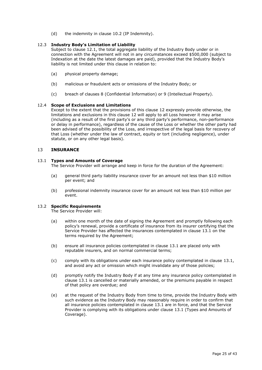(d) the indemnity in clause [10.2](#page-21-3) (IP Indemnity).

## <span id="page-24-0"></span>12.3 **Industry Body's Limitation of Liability**

Subject to clause [12.1,](#page-23-4) the total aggregate liability of the Industry Body under or in connection with the Agreement will not in any circumstances exceed \$500,000 (subject to Indexation at the date the latest damages are paid), provided that the Industry Body's liability is not limited under this clause in relation to:

- (a) physical property damage;
- (b) malicious or fraudulent acts or omissions of the Industry Body; or
- (c) breach of clauses [8](#page-18-4) (Confidential Information) or [9](#page-20-0) (Intellectual Property).

## <span id="page-24-1"></span>12.4 **Scope of Exclusions and Limitations**

Except to the extent that the provisions of this clause [12](#page-23-3) expressly provide otherwise, the limitations and exclusions in this clause [12](#page-23-3) will apply to all Loss however it may arise (including as a result of the first party's or any third party's performance, non-performance or delay in performance), regardless of the cause of the Loss or whether the other party had been advised of the possibility of the Loss, and irrespective of the legal basis for recovery of that Loss (whether under the law of contract, equity or tort (including negligence), under statute, or on any other legal basis).

## <span id="page-24-2"></span>13 **INSURANCE**

## <span id="page-24-3"></span>13.1 **Types and Amounts of Coverage**

The Service Provider will arrange and keep in force for the duration of the Agreement:

- (a) general third party liability insurance cover for an amount not less than \$10 million per event; and
- (b) professional indemnity insurance cover for an amount not less than \$10 million per event.

## <span id="page-24-4"></span>13.2 **Specific Requirements**

The Service Provider will:

- (a) within one month of the date of signing the Agreement and promptly following each policy's renewal, provide a certificate of insurance from its insurer certifying that the Service Provider has affected the insurances contemplated in clause [13.1](#page-24-3) on the terms required by the Agreement;
- (b) ensure all insurance policies contemplated in clause [13.1](#page-24-3) are placed only with reputable insurers, and on normal commercial terms;
- (c) comply with its obligations under each insurance policy contemplated in clause [13.1,](#page-24-3) and avoid any act or omission which might invalidate any of those policies;
- (d) promptly notify the Industry Body if at any time any insurance policy contemplated in clause [13.1](#page-24-3) is cancelled or materially amended, or the premiums payable in respect of that policy are overdue; and
- (e) at the request of the Industry Body from time to time, provide the Industry Body with such evidence as the Industry Body may reasonably require in order to confirm that all insurance policies contemplated in clause [13.1](#page-24-3) are in force, and that the Service Provider is complying with its obligations under clause [13.1](#page-24-3) (Types and Amounts of Coverage).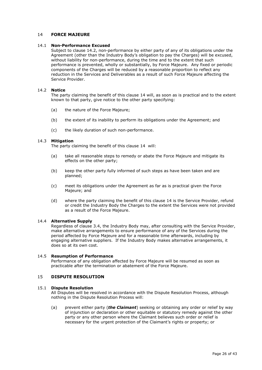## <span id="page-25-0"></span>14 **FORCE MAJEURE**

#### <span id="page-25-1"></span>14.1 **Non-Performance Excused**

Subject to clause [14.2,](#page-25-2) non-performance by either party of any of its obligations under the Agreement (other than the Industry Body's obligation to pay the Charges) will be excused, without liability for non-performance, during the time and to the extent that such performance is prevented, wholly or substantially, by Force Majeure. Any fixed or periodic components of the Charges will be reduced by a reasonable proportion to reflect any reduction in the Services and Deliverables as a result of such Force Majeure affecting the Service Provider.

#### <span id="page-25-2"></span>14.2 **Notice**

The party claiming the benefit of this clause [14](#page-25-0) will, as soon as is practical and to the extent known to that party, give notice to the other party specifying:

- (a) the nature of the Force Majeure;
- (b) the extent of its inability to perform its obligations under the Agreement; and
- (c) the likely duration of such non-performance.

#### <span id="page-25-3"></span>14.3 **Mitigation**

The party claiming the benefit of this clause [14](#page-25-0) will:

- (a) take all reasonable steps to remedy or abate the Force Majeure and mitigate its effects on the other party;
- (b) keep the other party fully informed of such steps as have been taken and are planned;
- (c) meet its obligations under the Agreement as far as is practical given the Force Majeure; and
- (d) where the party claiming the benefit of this clause [14](#page-25-0) is the Service Provider, refund or credit the Industry Body the Charges to the extent the Services were not provided as a result of the Force Majeure.

#### <span id="page-25-4"></span>14.4 **Alternative Supply**

Regardless of clause [3.4,](#page-14-0) the Industry Body may, after consulting with the Service Provider, make alternative arrangements to ensure performance of any of the Services during the period affected by Force Majeure and for a reasonable time afterwards, including by engaging alternative suppliers. If the Industry Body makes alternative arrangements, it does so at its own cost.

#### <span id="page-25-5"></span>14.5 **Resumption of Performance**

Performance of any obligation affected by Force Majeure will be resumed as soon as practicable after the termination or abatement of the Force Majeure.

## <span id="page-25-6"></span>15 **DISPUTE RESOLUTION**

#### <span id="page-25-7"></span>15.1 **Dispute Resolution**

All Disputes will be resolved in accordance with the Dispute Resolution Process, although nothing in the Dispute Resolution Process will:

(a) prevent either party (*the Claimant*) seeking or obtaining any order or relief by way of injunction or declaration or other equitable or statutory remedy against the other party or any other person where the Claimant believes such order or relief is necessary for the urgent protection of the Claimant's rights or property; or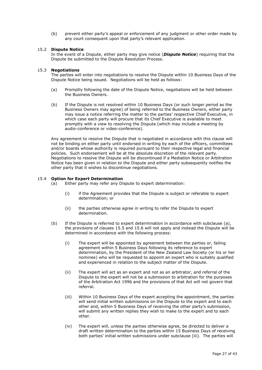(b) prevent either party's appeal or enforcement of any judgment or other order made by any court consequent upon that party's relevant application.

## <span id="page-26-0"></span>15.2 **Dispute Notice**

In the event of a Dispute, either party may give notice (*Dispute Notice*) requiring that the Dispute be submitted to the Dispute Resolution Process.

#### <span id="page-26-1"></span>15.3 **Negotiations**

The parties will enter into negotiations to resolve the Dispute within 10 Business Days of the Dispute Notice being issued. Negotiations will be held as follows:

- (a) Promptly following the date of the Dispute Notice, negotiations will be held between the Business Owners.
- (b) If the Dispute is not resolved within 10 Business Days (or such longer period as the Business Owners may agree) of being referred to the Business Owners, either party may issue a notice referring the matter to the parties' respective Chief Executive, in which case each party will procure that its Chief Executive is available to meet promptly with a view to resolving the Dispute (which may include a meeting by audio-conference or video-conference).

Any agreement to resolve the Dispute that is negotiated in accordance with this clause will not be binding on either party until endorsed in writing by each of the officers, committees and/or boards whose authority is required pursuant to their respective legal and financial policies. Such endorsement will be at the absolute discretion of the relevant party. Negotiations to resolve the Dispute will be discontinued if a Mediation Notice or Arbitration Notice has been given in relation to the Dispute and either party subsequently notifies the other party that it wishes to discontinue negotiations.

#### <span id="page-26-2"></span>15.4 **Option for Expert Determination**

- (a) Either party may refer any Dispute to expert determination:
	- (i) if the Agreement provides that the Dispute is subject or referable to expert determination; or
	- (ii) the parties otherwise agree in writing to refer the Dispute to expert determination.
- <span id="page-26-3"></span>(b) If the Dispute is referred to expert determination in accordance with subclause (a), the provisions of clauses [15.5](#page-27-0) and [15.6](#page-27-1) will not apply and instead the Dispute will be determined in accordance with the following process:
	- (i) The expert will be appointed by agreement between the parties or, failing agreement within 5 Business Days following its reference to expert determination, by the President of the New Zealand Law Society (or his or her nominee) who will be requested to appoint an expert who is suitably qualified and experienced in relation to the subject matter of the Dispute.
	- (ii) The expert will act as an expert and not as an arbitrator, and referral of the Dispute to the expert will not be a submission to arbitration for the purposes of the Arbitration Act 1996 and the provisions of that Act will not govern that referral.
	- (iii) Within 10 Business Days of the expert accepting the appointment, the parties will send initial written submissions on the Dispute to the expert and to each other and, within 5 Business Days of receiving the other party's submission, will submit any written replies they wish to make to the expert and to each other.
	- (iv) The expert will, unless the parties otherwise agree, be directed to deliver a draft written determination to the parties within 15 Business Days of receiving both parties' initial written submissions under subclause (iii). The parties will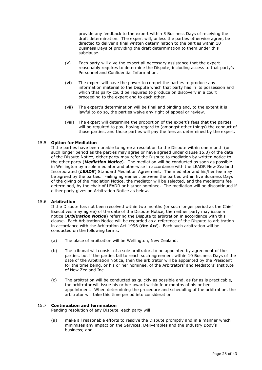provide any feedback to the expert within 5 Business Days of receiving the draft determination. The expert will, unless the parties otherwise agree, be directed to deliver a final written determination to the parties within 10 Business Days of providing the draft determination to them under this subclause.

- (v) Each party will give the expert all necessary assistance that the expert reasonably requires to determine the Dispute, including access to that party's Personnel and Confidential Information.
- (vi) The expert will have the power to compel the parties to produce any information material to the Dispute which that party has in its possession and which that party could be required to produce on discovery in a court proceeding to the expert and to each other.
- (vii) The expert's determination will be final and binding and, to the extent it is lawful to do so, the parties waive any right of appeal or review.
- (viii) The expert will determine the proportion of the expert's fees that the parties will be required to pay, having regard to (amongst other things) the conduct of those parties, and those parties will pay the fees as determined by the expert.

#### <span id="page-27-0"></span>15.5 **Option for Mediation**

If the parties have been unable to agree a resolution to the Dispute within one month (or such longer period as the parties may agree or have agreed under clause [15.3\)](#page-26-1) of the date of the Dispute Notice, either party may refer the Dispute to mediation by written notice to the other party (*Mediation Notice*). The mediation will be conducted as soon as possible in Wellington by a sole mediator and otherwise in accordance with the LEADR New Zealand Incorporated (*LEADR*) Standard Mediation Agreement. The mediator and his/her fee may be agreed by the parties. Failing agreement between the parties within five Business Days of the giving of the Mediation Notice, the mediator will be selected, and the mediator's fee determined, by the chair of LEADR or his/her nominee. The mediation will be discontinued if either party gives an Arbitration Notice as below.

#### <span id="page-27-1"></span>15.6 **Arbitration**

If the Dispute has not been resolved within two months (or such longer period as the Chief Executives may agree) of the date of the Dispute Notice, then either party may issue a notice (*Arbitration Notice*) referring the Dispute to arbitration in accordance with this clause. Each Arbitration Notice will be regarded as a reference of the Dispute to arbitration in accordance with the Arbitration Act 1996 (*the Act*). Each such arbitration will be conducted on the following terms:

- (a) The place of arbitration will be Wellington, New Zealand.
- (b) The tribunal will consist of a sole arbitrator, to be appointed by agreement of the parties, but if the parties fail to reach such agreement within 10 Business Days of the date of the Arbitration Notice, then the arbitrator will be appointed by the President for the time being, or his or her nominee, of the Arbitrators' and Mediators' Institute of New Zealand Inc.
- (c) The arbitration will be conducted as quickly as possible and, as far as is practicable, the arbitrator will issue his or her award within four months of his or her appointment. When determining the procedure and scheduling of the arbitration, the arbitrator will take this time period into consideration.

#### <span id="page-27-2"></span>15.7 **Continuation and termination**

Pending resolution of any Dispute, each party will:

(a) make all reasonable efforts to resolve the Dispute promptly and in a manner which minimises any impact on the Services, Deliverables and the Industry Body's business; and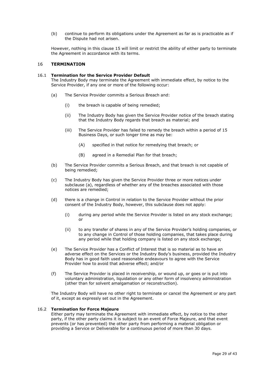(b) continue to perform its obligations under the Agreement as far as is practicable as if the Dispute had not arisen.

However, nothing in this clause [15](#page-25-6) will limit or restrict the ability of either party to terminate the Agreement in accordance with its terms.

#### <span id="page-28-0"></span>16 **TERMINATION**

#### <span id="page-28-1"></span>16.1 **Termination for the Service Provider Default**

The Industry Body may terminate the Agreement with immediate effect, by notice to the Service Provider, if any one or more of the following occur:

- <span id="page-28-3"></span>(a) The Service Provider commits a Serious Breach and:
	- (i) the breach is capable of being remedied;
	- (ii) The Industry Body has given the Service Provider notice of the breach stating that the Industry Body regards that breach as material; and
	- (iii) The Service Provider has failed to remedy the breach within a period of 15 Business Days, or such longer time as may be:
		- (A) specified in that notice for remedying that breach; or
		- (B) agreed in a Remedial Plan for that breach;
- (b) The Service Provider commits a Serious Breach, and that breach is not capable of being remedied;
- (c) The Industry Body has given the Service Provider three or more notices under subclause [\(a\),](#page-28-3) regardless of whether any of the breaches associated with those notices are remedied;
- (d) there is a change in Control in relation to the Service Provider without the prior consent of the Industry Body, however, this subclause does not apply:
	- (i) during any period while the Service Provider is listed on any stock exchange; or
	- (ii) to any transfer of shares in any of the Service Provider's holding companies, or to any change in Control of those holding companies, that takes place during any period while that holding company is listed on any stock exchange;
- (e) The Service Provider has a Conflict of Interest that is so material as to have an adverse effect on the Services or the Industry Body's business, provided the Industry Body has in good faith used reasonable endeavours to agree with the Service Provider how to avoid that adverse effect; and/or
- (f) The Service Provider is placed in receivership, or wound up, or goes or is put into voluntary administration, liquidation or any other form of insolvency administration (other than for solvent amalgamation or reconstruction).

The Industry Body will have no other right to terminate or cancel the Agreement or any part of it, except as expressly set out in the Agreement.

#### <span id="page-28-2"></span>16.2 **Termination for Force Majeure**

Either party may terminate the Agreement with immediate effect, by notice to the other party, if the other party claims it is subject to an event of Force Majeure, and that event prevents (or has prevented) the other party from performing a material obligation or providing a Service or Deliverable for a continuous period of more than 30 days.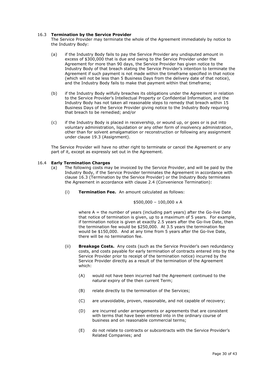## <span id="page-29-0"></span>16.3 **Termination by the Service Provider**

The Service Provider may terminate the whole of the Agreement immediately by notice to the Industry Body:

- (a) if the Industry Body fails to pay the Service Provider any undisputed amount in excess of \$300,000 that is due and owing to the Service Provider under the Agreement for more than 90 days, the Service Provider has given notice to the Industry Body of that breach stating the Service Provider's intention to terminate the Agreement if such payment is not made within the timeframe specified in that notice (which will not be less than 5 Business Days from the delivery date of that notice), and the Industry Body fails to make that payment within that timeframe;
- (b) if the Industry Body wilfully breaches its obligations under the Agreement in relation to the Service Provider's Intellectual Property or Confidential Information, and the Industry Body has not taken all reasonable steps to remedy that breach within 15 Business Days of the Service Provider giving notice to the Industry Body requiring that breach to be remedied; and/or
- (c) if the Industry Body is placed in receivership, or wound up, or goes or is put into voluntary administration, liquidation or any other form of insolvency administration, other than for solvent amalgamation or reconstruction or following any assignment under clause [19.3](#page-36-5) (Assignment).

The Service Provider will have no other right to terminate or cancel the Agreement or any part of it, except as expressly set out in the Agreement.

#### <span id="page-29-1"></span>16.4 **Early Termination Charges**

- (a) The following costs may be invoiced by the Service Provider, and will be paid by the Industry Body, if the Service Provider terminates the Agreement in accordance with clause [16.3](#page-29-0) (Termination by the Service Provider) or the Industry Body terminates the Agreement in accordance with clause [2.4](#page-12-4) (Convenience Termination):
	- (i) **Termination Fee.** An amount calculated as follows:

$$
$500,000 - 100,000 \times A
$$

where  $A =$  the number of years (including part years) after the Go-live Date that notice of termination is given, up to a maximum of 5 years. For example, if termination notice is given at exactly 2.5 years after the Go-live Date, then the termination fee would be \$250,000. At 3.5 years the termination fee would be \$150,000. And at any time from 5 years after the Go-live Date, there will be no termination fee.

- (ii) **Breakage Costs.** Any costs (such as the Service Provider's own redundancy costs, and costs payable for early termination of contracts entered into by the Service Provider prior to receipt of the termination notice) incurred by the Service Provider directly as a result of the termination of the Agreement which:
	- (A) would not have been incurred had the Agreement continued to the natural expiry of the then current Term;
	- (B) relate directly to the termination of the Services;
	- (C) are unavoidable, proven, reasonable, and not capable of recovery;
	- (D) are incurred under arrangements or agreements that are consistent with terms that have been entered into in the ordinary course of business and on reasonable commercial terms;
	- (E) do not relate to contracts or subcontracts with the Service Provider's Related Companies; and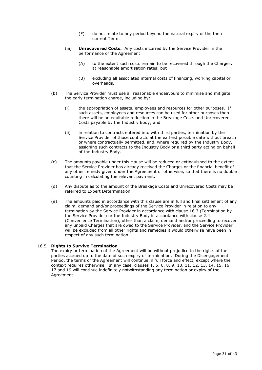- (F) do not relate to any period beyond the natural expiry of the then current Term.
- (iii) **Unrecovered Costs.** Any costs incurred by the Service Provider in the performance of the Agreement
	- (A) to the extent such costs remain to be recovered through the Charges, at reasonable amortisation rates; but
	- (B) excluding all associated internal costs of financing, working capital or overheads.
- (b) The Service Provider must use all reasonable endeavours to minimise and mitigate the early termination charge, including by:
	- (i) the appropriation of assets, employees and resources for other purposes. If such assets, employees and resources can be used for other purposes then there will be an equitable reduction in the Breakage Costs and Unrecovered Costs payable by the Industry Body; and
	- (ii) in relation to contracts entered into with third parties, termination by the Service Provider of those contracts at the earliest possible date without breach or where contractually permitted, and, where required by the Industry Body, assigning such contracts to the Industry Body or a third party acting on behalf of the Industry Body.
- (c) The amounts payable under this clause will be reduced or extinguished to the extent that the Service Provider has already received the Charges or the financial benefit of any other remedy given under the Agreement or otherwise, so that there is no double counting in calculating the relevant payment.
- (d) Any dispute as to the amount of the Breakage Costs and Unrecovered Costs may be referred to Expert Determination.
- (e) The amounts paid in accordance with this clause are in full and final settlement of any claim, demand and/or proceedings of the Service Provider in relation to any termination by the Service Provider in accordance with clause [16.3](#page-29-0) (Termination by the Service Provider) or the Industry Body in accordance with clause [2.4](#page-12-4) (Convenience Termination), other than a claim, demand and/or proceeding to recover any unpaid Charges that are owed to the Service Provider, and the Service Provider will be excluded from all other rights and remedies it would otherwise have been in respect of any such termination.

#### <span id="page-30-0"></span>16.5 **Rights to Survive Termination**

The expiry or termination of the Agreement will be without prejudice to the rights of the parties accrued up to the date of such expiry or termination. During the Disengagement Period, the terms of the Agreement will continue in full force and effect, except where the context requires otherwise. In any case, clauses [1,](#page-5-0) [5,](#page-16-4) [6,](#page-18-0) [8,](#page-18-4) [9,](#page-20-0) [10,](#page-21-1) [11,](#page-22-1) [12,](#page-23-3) [13,](#page-24-2) [14,](#page-25-0) [15,](#page-25-6) [16,](#page-28-0) [17](#page-31-0) and [19](#page-36-2) will continue indefinitely notwithstanding any termination or expiry of the Agreement.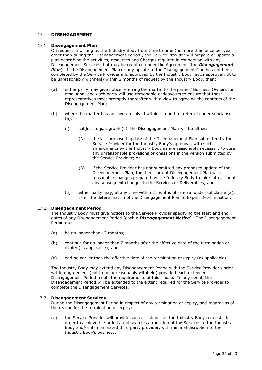## <span id="page-31-0"></span>17 **DISENGAGEMENT**

#### <span id="page-31-1"></span>17.1 **Disengagement Plan**

On request in writing by the Industry Body from time to time (no more than once per year other than during the Disengagement Period), the Service Provider will prepare or update a plan describing the activities, resources and Charges required in connection with any Disengagement Services that may be required under the Agreement (the *Disengagement*  **Plan**). If the Disengagement Plan or any update to the Disengagement Plan has not been completed by the Service Provider and approved by the Industry Body (such approval not to be unreasonably withheld) within 2 months of request by the Industry Body, then:

- <span id="page-31-4"></span>(a) either party may give notice referring the matter to the parties' Business Owners for resolution, and each party will use reasonable endeavours to ensure that those representatives meet promptly thereafter with a view to agreeing the contents of the Disengagement Plan;
- (b) where the matter has not been resolved within 1 month of referral under subclause [\(a\):](#page-31-4)
	- (i) subject to paragraph (ii), the Disengagement Plan will be either:
		- (A) the last proposed update of the Disengagement Plan submitted by the Service Provider for the Industry Body's approval, with such amendments by the Industry Body as are reasonably necessary to cure any unreasonable provisions or omissions in the version submitted by the Service Provider; or
		- (B) if the Service Provider has not submitted any proposed update of the Disengagement Plan, the then-current Disengagement Plan with reasonable changes prepared by the Industry Body to take into account any subsequent changes to the Services or Deliverables; and
	- (ii) either party may, at any time within 2 months of referral under subclause (a), refer the determination of the Disengagement Plan to Expert Determination.

#### <span id="page-31-2"></span>17.2 **Disengagement Period**

The Industry Body must give notices to the Service Provider specifying the start and end dates of any Disengagement Period (each a *Disengagement Notice*). The Disengagement Period must:

- (a) be no longer than 12 months;
- (b) continue for no longer than 7 months after the effective date of the termination or expiry (as applicable); and
- (c) end no earlier than the effective date of the termination or expiry (as applicable).

The Industry Body may extend any Disengagement Period with the Service Provider's prior written agreement (not to be unreasonably withheld) provided each extended Disengagement Period meets the requirements of this clause. In any event, the Disengagement Period will be extended to the extent required for the Service Provider to complete the Disengagement Services.

#### <span id="page-31-3"></span>17.3 **Disengagement Services**

During the Disengagement Period in respect of any termination or expiry, and regardless of the reason for the termination or expiry:

(a) the Service Provider will provide such assistance as the Industry Body requests, in order to achieve the orderly and seamless transition of the Services to the Industry Body and/or its nominated third party provider, with minimal disruption to the Industry Body's business;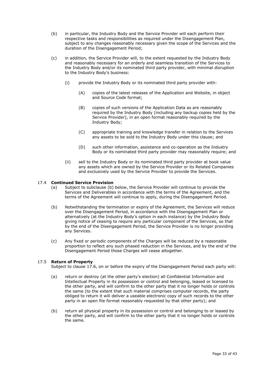- (b) in particular, the Industry Body and the Service Provider will each perform their respective tasks and responsibilities as required under the Disengagement Plan, subject to any changes reasonably necessary given the scope of the Services and the duration of the Disengagement Period;
- (c) in addition, the Service Provider will, to the extent requested by the Industry Body and reasonably necessary for an orderly and seamless transition of the Services to the Industry Body and/or its nominated third party provider, with minimal disruption to the Industry Body's business:
	- (i) provide the Industry Body or its nominated third party provider with:
		- (A) copies of the latest releases of the Application and Website, in object and Source Code format;
		- (B) copies of such versions of the Application Data as are reasonably required by the Industry Body (including any backup copies held by the Service Provider), in an open format reasonably required by the Industry Body;
		- (C) appropriate training and knowledge transfer in relation to the Services any assets to be sold to the Industry Body under this clause; and
		- (D) such other information, assistance and co-operation as the Industry Body or its nominated third party provider may reasonably require; and
	- (ii) sell to the Industry Body or its nominated third party provider at book value any assets which are owned by the Service Provider or its Related Companies and exclusively used by the Service Provider to provide the Services.

## <span id="page-32-0"></span>17.4 **Continued Service Provision**

- (a) Subject to subclause (b) below, the Service Provider will continue to provide the Services and Deliverables in accordance with the terms of the Agreement, and the terms of the Agreement will continue to apply, during the Disengagement Period.
- (b) Notwithstanding the termination or expiry of the Agreement, the Services will reduce over the Disengagement Period, in accordance with the Disengagement Plan or alternatively (at the Industry Body's option in each instance) by the Industry Body giving notice of ceasing to require any particular component of the Services, so that by the end of the Disengagement Period, the Service Provider is no longer providing any Services.
- (c) Any fixed or periodic components of the Charges will be reduced by a reasonable proportion to reflect any such phased reduction in the Services, and by the end of the Disengagement Period those Charges will cease altogether.

## <span id="page-32-1"></span>17.5 **Return of Property**

Subject to clause [17.6,](#page-33-0) on or before the expiry of the Disengagement Period each party will:

- (a) return or destroy (at the other party's election) all Confidential Information and Intellectual Property in its possession or control and belonging, leased or licensed to the other party, and will confirm to the other party that it no longer holds or controls the same (to the extent that such material comprises computer records, the party obliged to return it will deliver a useable electronic copy of such records to the other party in an open file format reasonably requested by that other party); and
- (b) return all physical property in its possession or control and belonging to or leased by the other party, and will confirm to the other party that it no longer holds or controls the same.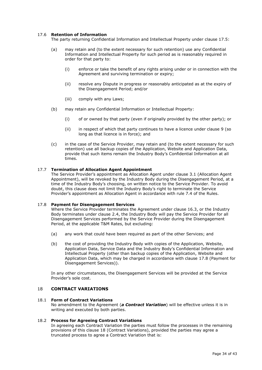## <span id="page-33-0"></span>17.6 **Retention of Information**

The party returning Confidential Information and Intellectual Property under clause [17.5:](#page-32-1)

- (a) may retain and (to the extent necessary for such retention) use any Confidential Information and Intellectual Property for such period as is reasonably required in order for that party to:
	- (i) enforce or take the benefit of any rights arising under or in connection with the Agreement and surviving termination or expiry;
	- (ii) resolve any Dispute in progress or reasonably anticipated as at the expiry of the Disengagement Period; and/or
	- (iii) comply with any Laws;
- (b) may retain any Confidential Information or Intellectual Property:
	- (i) of or owned by that party (even if originally provided by the other party); or
	- (ii) in respect of which that party continues to have a licence under clause [9](#page-20-0) (so long as that licence is in force); and
- (c) in the case of the Service Provider, may retain and (to the extent necessary for such retention) use all backup copies of the Application, Website and Application Data, provide that such items remain the Industry Body's Confidential Information at all times.

#### <span id="page-33-1"></span>17.7 **Termination of Allocation Agent Appointment**

The Service Provider's appointment as Allocation Agent under clause [3.1](#page-12-6) (Allocation Agent Appointment), will be revoked by the Industry Body during the Disengagement Period, at a time of the Industry Body's choosing, on written notice to the Service Provider. To avoid doubt, this clause does not limit the Industry Body's right to terminate the Service Provider's appointment as Allocation Agent in accordance with rule 7.4 of the Rules.

#### <span id="page-33-2"></span>17.8 **Payment for Disengagement Services**

Where the Service Provider terminates the Agreement under clause [16.3,](#page-29-0) or the Industry Body terminates under clause [2.4,](#page-12-4) the Industry Body will pay the Service Provider for all Disengagement Services performed by the Service Provider during the Disengagement Period, at the applicable T&M Rates, but excluding:

- (a) any work that could have been required as part of the other Services; and
- (b) the cost of providing the Industry Body with copies of the Application, Website, Application Data, Service Data and the Industry Body's Confidential Information and Intellectual Property (other than backup copies of the Application, Website and Application Data, which may be charged in accordance with clause [17.8](#page-33-2) (Payment for Disengagement Services)).

In any other circumstances, the Disengagement Services will be provided at the Service Provider's sole cost.

## <span id="page-33-3"></span>18 **CONTRACT VARIATIONS**

#### <span id="page-33-4"></span>18.1 **Form of Contract Variations**

No amendment to the Agreement (*a Contract Variation*) will be effective unless it is in writing and executed by both parties.

#### <span id="page-33-5"></span>18.2 **Process for Agreeing Contract Variations**

In agreeing each Contract Variation the parties must follow the processes in the remaining provisions of this clause [18](#page-33-3) (Contract Variations), provided the parties may agree a truncated process to agree a Contract Variation that is: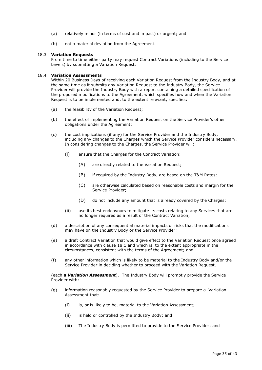- (a) relatively minor (in terms of cost and impact) or urgent; and
- (b) not a material deviation from the Agreement.

#### <span id="page-34-0"></span>18.3 **Variation Requests**

From time to time either party may request Contract Variations (including to the Service Levels) by submitting a Variation Request.

#### <span id="page-34-1"></span>18.4 **Variation Assessments**

Within 20 Business Days of receiving each Variation Request from the Industry Body, and at the same time as it submits any Variation Request to the Industry Body, the Service Provider will provide the Industry Body with a report containing a detailed specification of the proposed modifications to the Agreement, which specifies how and when the Variation Request is to be implemented and, to the extent relevant, specifies:

- (a) the feasibility of the Variation Request;
- (b) the effect of implementing the Variation Request on the Service Provider's other obligations under the Agreement;
- <span id="page-34-2"></span>(c) the cost implications (if any) for the Service Provider and the Industry Body, including any changes to the Charges which the Service Provider considers necessary. In considering changes to the Charges, the Service Provider will:
	- (i) ensure that the Charges for the Contract Variation:
		- (A) are directly related to the Variation Request;
		- (B) if required by the Industry Body, are based on the T&M Rates;
		- (C) are otherwise calculated based on reasonable costs and margin for the Service Provider;
		- (D) do not include any amount that is already covered by the Charges;
	- (ii) use its best endeavours to mitigate its costs relating to any Services that are no longer required as a result of the Contract Variation;
- (d) a description of any consequential material impacts or risks that the modifications may have on the Industry Body or the Service Provider;
- (e) a draft Contract Variation that would give effect to the Variation Request once agreed in accordance with clause [18.1](#page-33-4) and which is, to the extent appropriate in the circumstances, consistent with the terms of the Agreement; and
- (f) any other information which is likely to be material to the Industry Body and/or the Service Provider in deciding whether to proceed with the Variation Request,

(each *a Variation Assessment*). The Industry Body will promptly provide the Service Provider with:

- (g) information reasonably requested by the Service Provider to prepare a Variation Assessment that:
	- (i) is, or is likely to be, material to the Variation Assessment;
	- (ii) is held or controlled by the Industry Body; and
	- (iii) The Industry Body is permitted to provide to the Service Provider; and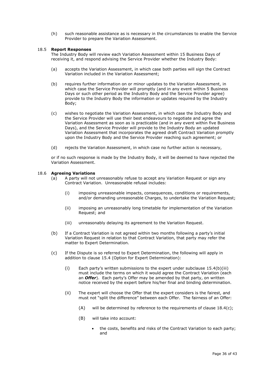(h) such reasonable assistance as is necessary in the circumstances to enable the Service Provider to prepare the Variation Assessment.

#### <span id="page-35-0"></span>18.5 **Report Responses**

The Industry Body will review each Variation Assessment within 15 Business Days of receiving it, and respond advising the Service Provider whether the Industry Body:

- (a) accepts the Variation Assessment, in which case both parties will sign the Contract Variation included in the Variation Assessment;
- (b) requires further information on or minor updates to the Variation Assessment, in which case the Service Provider will promptly (and in any event within 5 Business Days or such other period as the Industry Body and the Service Provider agree) provide to the Industry Body the information or updates required by the Industry Body;
- (c) wishes to negotiate the Variation Assessment, in which case the Industry Body and the Service Provider will use their best endeavours to negotiate and agree the Variation Assessment as soon as is practicable (and in any event within five Business Days), and the Service Provider will provide to the Industry Body an updated Variation Assessment that incorporates the agreed draft Contract Variation promptly upon the Industry Body and the Service Provider reaching such agreement; or
- (d) rejects the Variation Assessment, in which case no further action is necessary,

or if no such response is made by the Industry Body, it will be deemed to have rejected the Variation Assessment.

#### <span id="page-35-1"></span>18.6 **Agreeing Variations**

- (a) A party will not unreasonably refuse to accept any Variation Request or sign any Contract Variation. Unreasonable refusal includes:
	- (i) imposing unreasonable impacts, consequences, conditions or requirements, and/or demanding unreasonable Charges, to undertake the Variation Request;
	- (ii) imposing an unreasonably long timetable for implementation of the Variation Request; and
	- (iii) unreasonably delaying its agreement to the Variation Request.
- (b) If a Contract Variation is not agreed within two months following a party's initial Variation Request in relation to that Contract Variation, that party may refer the matter to Expert Determination.
- (c) If the Dispute is so referred to Expert Determination, the following will apply in addition to clause [15.4](#page-26-2) (Option for Expert Determination):
	- (i) Each party's written submissions to the expert under subclause [15.4\(b\)\(iii\)](#page-26-3) must include the terms on which it would agree the Contract Variation (each an *Offer*). Each party's Offer may be amended by that party, on written notice received by the expert before his/her final and binding determination.
	- (ii) The expert will choose the Offer that the expert considers is the fairest, and must not "split the difference" between each Offer. The fairness of an Offer:
		- (A) will be determined by reference to the requirements of clause  $18.4(c)$ ;
		- (B) will take into account:
			- the costs, benefits and risks of the Contract Variation to each party; and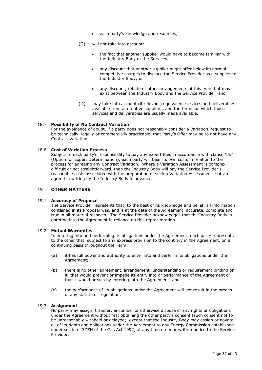- each party's knowledge and resources;
- (C) will not take into account:
	- the fact that another supplier would have to become familiar with the Industry Body or the Services;
	- any discount that another supplier might offer below its normal competitive charges to displace the Service Provider as a supplier to the Industry Body; or
	- any discount, rebate or other arrangements of this type that may exist between the Industry Body and the Service Provider; and
- (D) may take into account (if relevant) equivalent services and deliverables available from alternative suppliers, and the terms on which those services and deliverables are usually made available.

#### <span id="page-36-0"></span>18.7 **Possibility of No Contract Variation**

For the avoidance of doubt, if a party does not reasonably consider a Variation Request to be technically, legally or commercially practicable, that Party's Offer may be to not have any Contract Variation.

#### <span id="page-36-1"></span>18.8 **Cost of Variation Process**

Subject to each party's responsibility to pay any expert fees in accordance with clause [15.4](#page-26-2) (Option for Expert Determination), each party will bear its own costs in relation to the process for agreeing any Contract Variation. Where a Variation Assessment is complex, difficult or not straightforward, then the Industry Body will pay the Service Provider's reasonable costs associated with the preparation of such a Variation Assessment that are agreed in writing by the Industry Body in advance.

## <span id="page-36-2"></span>19 **OTHER MATTERS**

#### <span id="page-36-3"></span>19.1 **Accuracy of Proposal**

The Service Provider represents that, to the best of its knowledge and belief, all information contained in its Proposal was, and is at the date of the Agreement, accurate, complete and true in all material respects. The Service Provider acknowledges that the Industry Body is entering into the Agreement in reliance on this representation.

#### <span id="page-36-4"></span>19.2 **Mutual Warranties**

In entering into and performing its obligations under the Agreement, each party represents to the other that, subject to any express provision to the contrary in the Agreement, on a continuing basis throughout the Term:

- (a) it has full power and authority to enter into and perform its obligations under the Agreement;
- (b) there is no other agreement, arrangement, understanding or requirement binding on it, that would prevent or impede its entry into or performance of the Agreement or that it would breach by entering into the Agreement; and
- (c) the performance of its obligations under the Agreement will not result in the breach of any statute or regulation.

#### <span id="page-36-5"></span>19.3 **Assignment**

No party may assign, transfer, encumber or otherwise dispose of any rights or obligations under the Agreement without first obtaining the other party's consent (such consent not to be unreasonably withheld or delayed), except that the Industry Body may assign or novate all of its rights and obligations under the Agreement to any Energy Commission established under section 43ZZH of the Gas Act 1992, at any time on prior written notice to the Service Provider.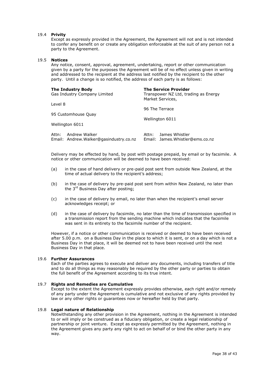#### <span id="page-37-0"></span>19.4 **Privity**

Except as expressly provided in the Agreement, the Agreement will not and is not intended to confer any benefit on or create any obligation enforceable at the suit of any person not a party to the Agreement.

#### <span id="page-37-1"></span>19.5 **Notices**

Any notice, consent, approval, agreement, undertaking, report or other communication given by a party for the purposes the Agreement will be of no effect unless given in writing and addressed to the recipient at the address last notified by the recipient to the other party. Until a change is so notified, the address of each party is as follows:

| <b>The Industry Body</b><br>Gas Industry Company Limited         | <b>The Service Provider</b><br>Transpower NZ Ltd, trading as Energy<br>Market Services,<br>96 The Terrace |  |
|------------------------------------------------------------------|-----------------------------------------------------------------------------------------------------------|--|
| Level 8                                                          |                                                                                                           |  |
| 95 Customhouse Quay                                              | Wellington 6011                                                                                           |  |
| Wellington 6011                                                  |                                                                                                           |  |
| Andrew Walker<br>Attn:<br>Email: Andrew.Walker@gasindustry.co.nz | James Whistler<br>Attn:<br>Email: James. Whistler@ems.co.nz                                               |  |

Delivery may be effected by hand, by post with postage prepaid, by email or by facsimile. A notice or other communication will be deemed to have been received:

- (a) in the case of hand delivery or pre-paid post sent from outside New Zealand, at the time of actual delivery to the recipient's address;
- (b) in the case of delivery by pre-paid post sent from within New Zealand, no later than the 3<sup>rd</sup> Business Day after posting;
- (c) in the case of delivery by email, no later than when the recipient's email server acknowledges receipt; or
- (d) in the case of delivery by facsimile, no later than the time of transmission specified in a transmission report from the sending machine which indicates that the facsimile was sent in its entirety to the facsimile number of the recipient.

However, if a notice or other communication is received or deemed to have been received after 5.00 p.m. on a Business Day in the place to which it is sent, or on a day which is not a Business Day in that place, it will be deemed not to have been received until the next Business Day in that place.

#### <span id="page-37-2"></span>19.6 **Further Assurances**

Each of the parties agrees to execute and deliver any documents, including transfers of title and to do all things as may reasonably be required by the other party or parties to obtain the full benefit of the Agreement according to its true intent.

## <span id="page-37-3"></span>19.7 **Rights and Remedies are Cumulative**

Except to the extent the Agreement expressly provides otherwise, each right and/or remedy of any party under the Agreement is cumulative and not exclusive of any rights provided by law or any other rights or guarantees now or hereafter held by that party.

#### <span id="page-37-4"></span>19.8 **Legal nature of Relationship**

Notwithstanding any other provision in the Agreement, nothing in the Agreement is intended to or will imply or be construed as a fiduciary obligation, or create a legal relationship of partnership or joint venture. Except as expressly permitted by the Agreement, nothing in the Agreement gives any party any right to act on behalf of or bind the other party in any way.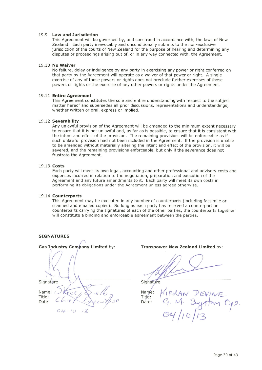#### 19.9 Law and Jurisdiction

This Agreement will be governed by, and construed in accordance with, the laws of New Zealand. Each party irrevocably and unconditionally submits to the non-exclusive jurisdiction of the courts of New Zealand for the purpose of hearing and determining any disputes or proceedings arising out of, or in any way connected with, the Agreement.

#### 19.10 No Waiver

No failure, delay or indulgence by any party in exercising any power or right conferred on that party by the Agreement will operate as a waiver of that power or right. A single exercise of any of those powers or rights does not preclude further exercises of those powers or rights or the exercise of any other powers or rights under the Agreement.

### 19.11 Entire Agreement

This Agreement constitutes the sole and entire understanding with respect to the subject matter hereof and supersedes all prior discussions, representations and understandings, whether written or oral, express or implied.

#### 19.12 Severability

Any unlawful provision of the Agreement will be amended to the minimum extent necessary to ensure that it is not unlawful and, as far as is possible, to ensure that it is consistent with the intent and effect of the provision. The remaining provisions will be enforceable as if such unlawful provision had not been included in the Agreement. If the provision is unable to be amended without materially altering the intent and effect of the provision, it will be severed, and the remaining provisions enforceable, but only if the severance does not frustrate the Agreement.

#### 19.13 Costs

Each party will meet its own legal, accounting and other professional and advisory costs and expenses incurred in relation to the negotiation, preparation and execution of the Agreement and any future amendments to it. Each party will meet its own costs in performing its obligations under the Agreement unless agreed otherwise.

#### 19.14 Counterparts

This Agreement may be executed in any number of counterparts (including facsimile or scanned and emailed copies). So long as each party has received a counterpart or counterparts carrying the signatures of each of the other parties, the counterparts together will constitute a binding and enforceable agreement between the parties.

## **SIGNATURES**



#### Transpower New Zealand Limited by:

Signature

 $Name:$ Title: Dáte: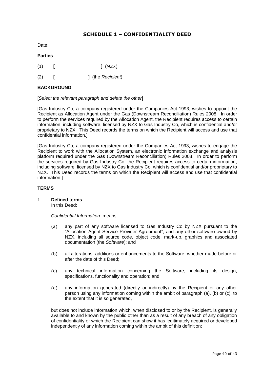# **SCHEDULE 1 – CONFIDENTIALITY DEED**

<span id="page-39-0"></span>Date:

## **Parties**

- (1) **[ ]** (*NZX*)
- (2) **[ ]** (the *Recipient*)

# **BACKGROUND**

[*Select the relevant paragraph and delete the other*]

[Gas Industry Co, a company registered under the Companies Act 1993, wishes to appoint the Recipient as Allocation Agent under the Gas (Downstream Reconciliation) Rules 2008. In order to perform the services required by the Allocation Agent, the Recipient requires access to certain information, including software, licensed by NZX to Gas Industry Co, which is confidential and/or proprietary to NZX. This Deed records the terms on which the Recipient will access and use that confidential information.]

[Gas Industry Co, a company registered under the Companies Act 1993, wishes to engage the Recipient to work with the Allocation System, an electronic information exchange and analysis platform required under the Gas (Downstream Reconciliation) Rules 2008. In order to perform the services required by Gas Industry Co, the Recipient requires access to certain information, including software, licensed by NZX to Gas Industry Co, which is confidential and/or proprietary to NZX. This Deed records the terms on which the Recipient will access and use that confidential information.]

## **TERMS**

<span id="page-39-1"></span>1 **Defined terms**

In this Deed:

*Confidential Information* means:

- (a) any part of any software licensed to Gas Industry Co by NZX pursuant to the "Allocation Agent Service Provider Agreement", and any other software owned by NZX, including all source code, object code, mark-up, graphics and associated documentation (the *Software*); and
- <span id="page-39-2"></span>(b) all alterations, additions or enhancements to the Software, whether made before or after the date of this Deed;
- <span id="page-39-3"></span>(c) any technical information concerning the Software, including its design, specifications, functionality and operation; and
- (d) any information generated (directly or indirectly) by the Recipient or any other person using any information coming within the ambit of paragraph (a), [\(b\)](#page-39-2) or [\(c\),](#page-39-3) to the extent that it is so generated,

but does not include information which, when disclosed to or by the Recipient, is generally available to and known by the public other than as a result of any breach of any obligation of confidentiality or which the Recipient can show it has legitimately acquired or developed independently of any information coming within the ambit of this definition;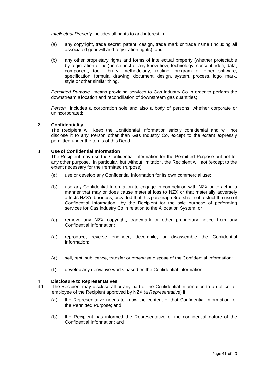*Intellectual Property includes all rights to and interest in:* 

- (a) any copyright, trade secret, patent, design, trade mark or trade name (including all associated goodwill and registration rights); and
- (b) any other proprietary rights and forms of intellectual property (whether protectable by registration or not) in respect of any know-how, technology, concept, idea, data, component, tool, library, methodology, routine, program or other software, specification, formula, drawing, document, design, system, process, logo, mark, style or other similar thing.

*Permitted Purpose* means providing services to Gas Industry Co in order to perform the downstream allocation and reconciliation of downstream gas quantities;

*Person* includes a corporation sole and also a body of persons, whether corporate or unincorporated;

## <span id="page-40-0"></span>2 **Confidentiality**

The Recipient will keep the Confidential Information strictly confidential and will not disclose it to any Person other than Gas Industry Co, except to the extent expressly permitted under the terms of this Deed.

## <span id="page-40-1"></span>3 **Use of Confidential Information**

The Recipient may use the Confidential Information for the Permitted Purpose but not for any other purpose. In particular, but without limitation, the Recipient will not (except to the extent necessary for the Permitted Purpose):

- (a) use or develop any Confidential Information for its own commercial use;
- (b) use any Confidential Information to engage in competition with NZX or to act in a manner that may or does cause material loss to NZX or that materially adversely affects NZX's business, provided that this paragraph 3(b) shall not restrict the use of Confidential Information by the Recipient for the sole purpose of performing services for Gas Industry Co in relation to the Allocation System; or
- (c) remove any NZX copyright, trademark or other proprietary notice from any Confidential Information;
- (d) reproduce, reverse engineer, decompile, or disassemble the Confidential Information;
- (e) sell, rent, sublicence, transfer or otherwise dispose of the Confidential Information;
- (f) develop any derivative works based on the Confidential Information;

# <span id="page-40-2"></span>4 **Disclosure to Representatives**

- 4.1 The Recipient may disclose all or any part of the Confidential Information to an officer or employee of the Recipient approved by NZX (a *Representative*) if:
	- (a) the Representative needs to know the content of that Confidential Information for the Permitted Purpose; and
	- (b) the Recipient has informed the Representative of the confidential nature of the Confidential Information; and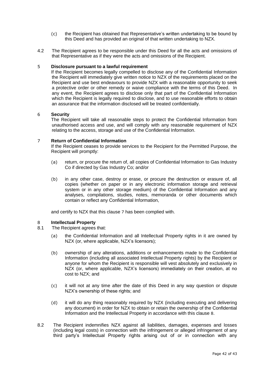- (c) the Recipient has obtained that Representative's written undertaking to be bound by this Deed and has provided an original of that written undertaking to NZX.
- 4.2 The Recipient agrees to be responsible under this Deed for all the acts and omissions of that Representative as if they were the acts and omissions of the Recipient.

## <span id="page-41-0"></span>5 **Disclosure pursuant to a lawful requirement**

If the Recipient becomes legally compelled to disclose any of the Confidential Information the Recipient will immediately give written notice to NZX of the requirements placed on the Recipient and use best endeavours to provide NZX with a reasonable opportunity to seek a protective order or other remedy or waive compliance with the terms of this Deed. In any event, the Recipient agrees to disclose only that part of the Confidential Information which the Recipient is legally required to disclose, and to use reasonable efforts to obtain an assurance that the information disclosed will be treated confidentially.

## <span id="page-41-1"></span>6 **Security**

The Recipient will take all reasonable steps to protect the Confidential Information from unauthorised access and use, and will comply with any reasonable requirement of NZX relating to the access, storage and use of the Confidential Information.

## <span id="page-41-2"></span>7 **Return of Confidential Information**

If the Recipient ceases to provide services to the Recipient for the Permitted Purpose, the Recipient will promptly:

- (a) return, or procure the return of, all copies of Confidential Information to Gas Industry Co if directed by Gas Industry Co; and/or
- (b) in any other case, destroy or erase, or procure the destruction or erasure of, all copies (whether on paper or in any electronic information storage and retrieval system or in any other storage medium) of the Confidential Information and any analyses, compilations, studies, notes, memoranda or other documents which contain or reflect any Confidential Information,

and certify to NZX that this clause [7](#page-41-2) has been complied with.

## <span id="page-41-3"></span>8 **Intellectual Property**

- 8.1 The Recipient agrees that:
	- (a) the Confidential Information and all Intellectual Property rights in it are owned by NZX (or, where applicable, NZX's licensors);
	- (b) ownership of any alterations, additions or enhancements made to the Confidential Information (including all associated Intellectual Property rights) by the Recipient or anyone for whom the Recipient is responsible will vest absolutely and exclusively in NZX (or, where applicable, NZX's licensors) immediately on their creation, at no cost to NZX; and
	- (c) it will not at any time after the date of this Deed in any way question or dispute NZX's ownership of these rights; and
	- (d) it will do any thing reasonably required by NZX (including executing and delivering any document) in order for NZX to obtain or retain the ownership of the Confidential Information and the Intellectual Property in accordance with this clause [8](#page-41-3).
- 8.2 The Recipient indemnifies NZX against all liabilities, damages, expenses and losses (including legal costs) in connection with the infringement or alleged infringement of any third party's Intellectual Property rights arising out of or in connection with any